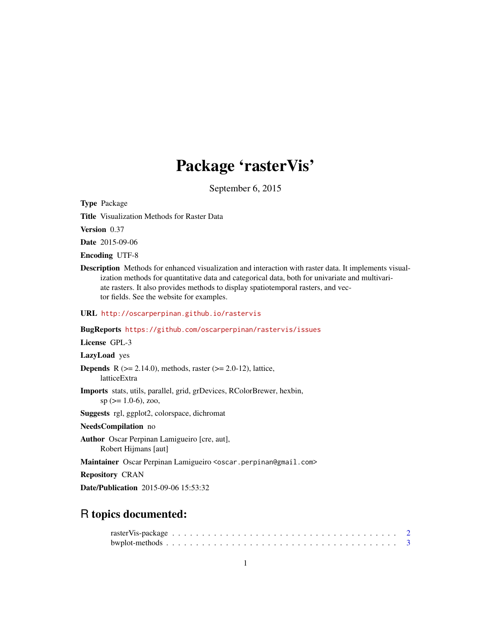# Package 'rasterVis'

September 6, 2015

<span id="page-0-0"></span>Type Package

Title Visualization Methods for Raster Data

Version 0.37

Date 2015-09-06

Encoding UTF-8

Description Methods for enhanced visualization and interaction with raster data. It implements visualization methods for quantitative data and categorical data, both for univariate and multivariate rasters. It also provides methods to display spatiotemporal rasters, and vector fields. See the website for examples.

URL <http://oscarperpinan.github.io/rastervis>

BugReports <https://github.com/oscarperpinan/rastervis/issues>

License GPL-3

LazyLoad yes

**Depends** R ( $>= 2.14.0$ ), methods, raster ( $>= 2.0-12$ ), lattice, latticeExtra

Imports stats, utils, parallel, grid, grDevices, RColorBrewer, hexbin,  $sp (= 1.0-6)$ , zoo,

Suggests rgl, ggplot2, colorspace, dichromat

NeedsCompilation no

Author Oscar Perpinan Lamigueiro [cre, aut], Robert Hijmans [aut]

Maintainer Oscar Perpinan Lamigueiro <oscar.perpinan@gmail.com>

Repository CRAN

Date/Publication 2015-09-06 15:53:32

# R topics documented: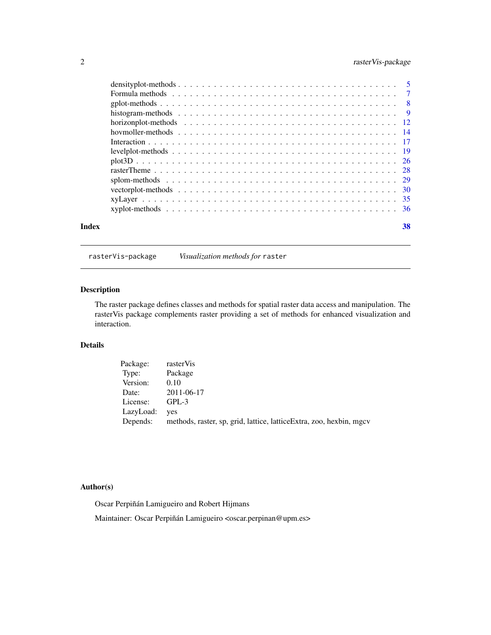# <span id="page-1-0"></span>2 rasterVis-package

| Index | 38 |  |
|-------|----|--|

rasterVis-package *Visualization methods for* raster

# Description

The raster package defines classes and methods for spatial raster data access and manipulation. The rasterVis package complements raster providing a set of methods for enhanced visualization and interaction.

# Details

| Package:  | rasterVis                                                            |
|-----------|----------------------------------------------------------------------|
| Type:     | Package                                                              |
| Version:  | 0.10                                                                 |
| Date:     | 2011-06-17                                                           |
| License:  | $GPL-3$                                                              |
| LazyLoad: | <b>ves</b>                                                           |
| Depends:  | methods, raster, sp, grid, lattice, lattice Extra, zoo, hexbin, mgcv |

#### Author(s)

Oscar Perpiñán Lamigueiro and Robert Hijmans

Maintainer: Oscar Perpiñán Lamigueiro <oscar.perpinan@upm.es>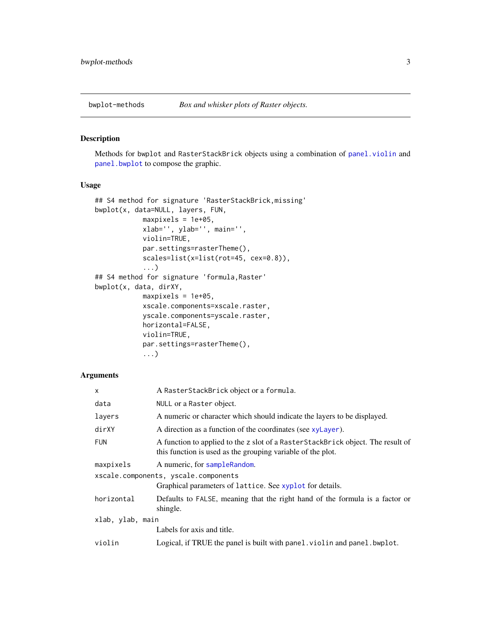<span id="page-2-0"></span>

#### <span id="page-2-1"></span>Description

Methods for bwplot and RasterStackBrick objects using a combination of [panel.violin](#page-0-0) and [panel.bwplot](#page-0-0) to compose the graphic.

# Usage

```
## S4 method for signature 'RasterStackBrick,missing'
bwplot(x, data=NULL, layers, FUN,
            maxpixels = 1e+05,
            xlab='', ylab='', main='',
            violin=TRUE,
            par.settings=rasterTheme(),
            scales=list(x=list(rot=45, cex=0.8)),
            ...)
## S4 method for signature 'formula,Raster'
bwplot(x, data, dirXY,
            maxpixels = 1e+05,
            xscale.components=xscale.raster,
            yscale.components=yscale.raster,
            horizontal=FALSE,
            violin=TRUE,
            par.settings=rasterTheme(),
            ...)
```

| $\mathsf{x}$     | A RasterStackBrick object or a formula.                                                                                                        |  |  |  |  |  |  |
|------------------|------------------------------------------------------------------------------------------------------------------------------------------------|--|--|--|--|--|--|
| data             | NULL or a Raster object.                                                                                                                       |  |  |  |  |  |  |
| layers           | A numeric or character which should indicate the layers to be displayed.                                                                       |  |  |  |  |  |  |
| dirXY            | A direction as a function of the coordinates (see xyLayer).                                                                                    |  |  |  |  |  |  |
| <b>FUN</b>       | A function to applied to the z slot of a RasterStackBrick object. The result of<br>this function is used as the grouping variable of the plot. |  |  |  |  |  |  |
| maxpixels        | A numeric, for sample Random.                                                                                                                  |  |  |  |  |  |  |
|                  | xscale.components, yscale.components                                                                                                           |  |  |  |  |  |  |
|                  | Graphical parameters of lattice. See xyplot for details.                                                                                       |  |  |  |  |  |  |
| horizontal       | Defaults to FALSE, meaning that the right hand of the formula is a factor or<br>shingle.                                                       |  |  |  |  |  |  |
| xlab, ylab, main |                                                                                                                                                |  |  |  |  |  |  |
|                  | Labels for axis and title.                                                                                                                     |  |  |  |  |  |  |
| violin           | Logical, if TRUE the panel is built with panel. violin and panel. bwplot.                                                                      |  |  |  |  |  |  |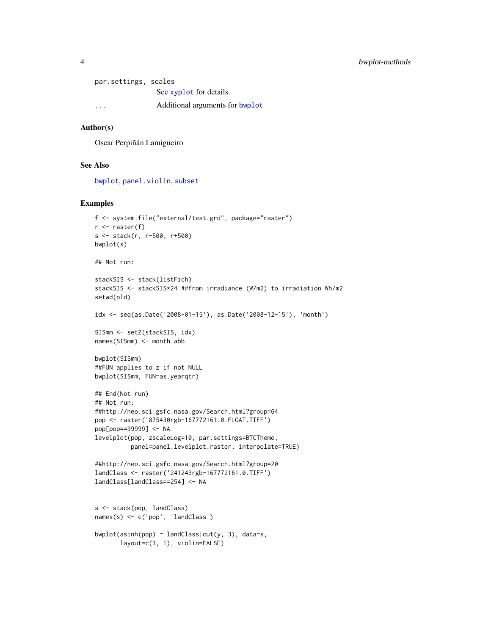#### <span id="page-3-0"></span>4 bwplot-methods

par.settings, scales See [xyplot](#page-35-1) for details. ... Additional arguments for [bwplot](#page-2-1)

# Author(s)

Oscar Perpiñán Lamigueiro

#### See Also

[bwplot](#page-2-1), [panel.violin](#page-0-0), [subset](#page-0-0)

```
f <- system.file("external/test.grd", package="raster")
r \leftarrow raster(f)
s <- stack(r, r-500, r+500)
bwplot(s)
## Not run:
stackSIS <- stack(listFich)
stackSIS <- stackSIS*24 ##from irradiance (W/m2) to irradiation Wh/m2
setwd(old)
idx <- seq(as.Date('2008-01-15'), as.Date('2008-12-15'), 'month')
SISmm <- setZ(stackSIS, idx)
names(SISmm) <- month.abb
bwplot(SISmm)
##FUN applies to z if not NULL
bwplot(SISmm, FUN=as.yearqtr)
## End(Not run)
## Not run:
##http://neo.sci.gsfc.nasa.gov/Search.html?group=64
pop <- raster('875430rgb-167772161.0.FLOAT.TIFF')
pop[pop==99999] <- NA
levelplot(pop, zscaleLog=10, par.settings=BTCTheme,
          panel=panel.levelplot.raster, interpolate=TRUE)
##http://neo.sci.gsfc.nasa.gov/Search.html?group=20
landClass <- raster('241243rgb-167772161.0.TIFF')
landClass[landClass==254] <- NA
s <- stack(pop, landClass)
names(s) <- c('pop', 'landClass')
bwplot(asinh(pop) \sim landClass|cut(y, 3), data=s,
       layout=c(3, 1), violin=FALSE)
```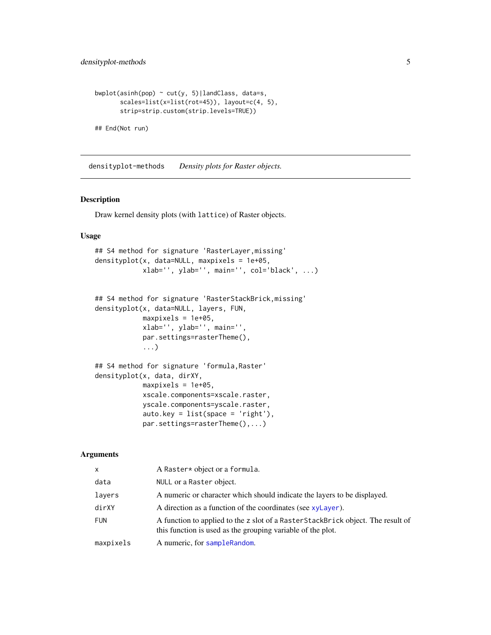```
bwplot(asinh(pop) \sim cut(y, 5)|landClass, data=s,
       scales=list(x=list(rot=45)), layout=c(4, 5),
       strip=strip.custom(strip.levels=TRUE))
```
## End(Not run)

densityplot-methods *Density plots for Raster objects.*

# <span id="page-4-1"></span>Description

Draw kernel density plots (with lattice) of Raster objects.

#### Usage

```
## S4 method for signature 'RasterLayer,missing'
densityplot(x, data=NULL, maxpixels = 1e+05,
            xlab='', ylab='', main='', col='black', ...)
```

```
## S4 method for signature 'RasterStackBrick,missing'
densityplot(x, data=NULL, layers, FUN,
            maxpixels = 1e+05,
            xlab='', ylab='', main='',
            par.settings=rasterTheme(),
            ...)
```

```
## S4 method for signature 'formula,Raster'
densityplot(x, data, dirXY,
            maxpixels = 1e+05,
            xscale.components=xscale.raster,
            yscale.components=yscale.raster,
            auto.key = list(space = 'right'),
            par.settings=rasterTheme(),...)
```

| X          | A Raster* object or a formula.                                                                                                                 |
|------------|------------------------------------------------------------------------------------------------------------------------------------------------|
| data       | NULL or a Raster object.                                                                                                                       |
| layers     | A numeric or character which should indicate the layers to be displayed.                                                                       |
| dirXY      | A direction as a function of the coordinates (see xyLayer).                                                                                    |
| <b>FUN</b> | A function to applied to the z slot of a RasterStackBrick object. The result of<br>this function is used as the grouping variable of the plot. |
| maxpixels  | A numeric, for sampleRandom.                                                                                                                   |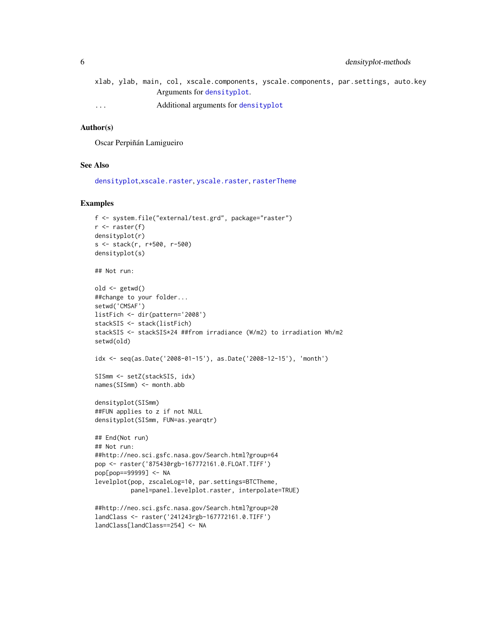- <span id="page-5-0"></span>xlab, ylab, main, col, xsca[le.component](#page-4-1)s, yscale.components, par.settings, auto.key Arguments for densityplot.
- ... Additional arguments for [densityplot](#page-4-1)

# Author(s)

Oscar Perpiñán Lamigueiro

#### See Also

[densityplot](#page-4-1),[xscale.raster](#page-27-1), [yscale.raster](#page-27-1), [rasterTheme](#page-27-2)

```
f <- system.file("external/test.grd", package="raster")
r <- raster(f)
densityplot(r)
s <- stack(r, r+500, r-500)
densityplot(s)
## Not run:
old <- getwd()
##change to your folder...
setwd('CMSAF')
listFich <- dir(pattern='2008')
stackSIS <- stack(listFich)
stackSIS <- stackSIS*24 ##from irradiance (W/m2) to irradiation Wh/m2
setwd(old)
idx <- seq(as.Date('2008-01-15'), as.Date('2008-12-15'), 'month')
SISmm <- setZ(stackSIS, idx)
names(SISmm) <- month.abb
densityplot(SISmm)
##FUN applies to z if not NULL
densityplot(SISmm, FUN=as.yearqtr)
## End(Not run)
## Not run:
##http://neo.sci.gsfc.nasa.gov/Search.html?group=64
pop <- raster('875430rgb-167772161.0.FLOAT.TIFF')
pop[pop==99999] <- NA
levelplot(pop, zscaleLog=10, par.settings=BTCTheme,
          panel=panel.levelplot.raster, interpolate=TRUE)
##http://neo.sci.gsfc.nasa.gov/Search.html?group=20
landClass <- raster('241243rgb-167772161.0.TIFF')
landClass[landClass==254] <- NA
```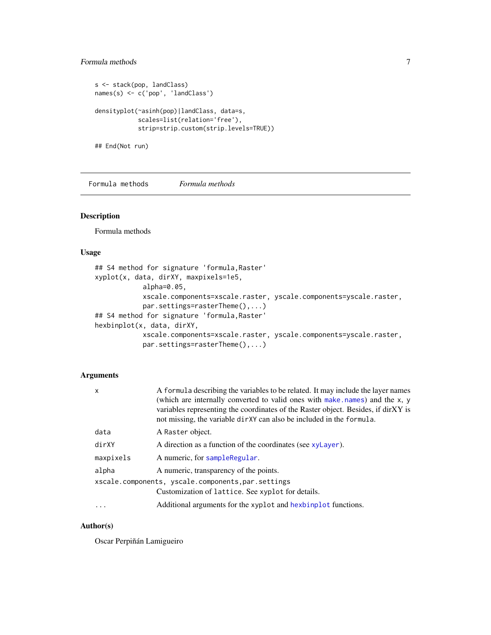# <span id="page-6-0"></span>Formula methods 7

```
s <- stack(pop, landClass)
names(s) <- c('pop', 'landClass')
densityplot(~asinh(pop)|landClass, data=s,
            scales=list(relation='free'),
            strip=strip.custom(strip.levels=TRUE))
```
## End(Not run)

Formula methods *Formula methods*

# <span id="page-6-1"></span>Description

Formula methods

# Usage

```
## S4 method for signature 'formula,Raster'
xyplot(x, data, dirXY, maxpixels=1e5,
            alpha=0.05,
            xscale.components=xscale.raster, yscale.components=yscale.raster,
            par.settings=rasterTheme(),...)
## S4 method for signature 'formula,Raster'
hexbinplot(x, data, dirXY,
            xscale.components=xscale.raster, yscale.components=yscale.raster,
            par.settings=rasterTheme(),...)
```
# Arguments

| $\mathsf{x}$ | A formula describing the variables to be related. It may include the layer names<br>(which are internally converted to valid ones with make names) and the x, y<br>variables representing the coordinates of the Raster object. Besides, if dirXY is<br>not missing, the variable dirXY can also be included in the formula. |
|--------------|------------------------------------------------------------------------------------------------------------------------------------------------------------------------------------------------------------------------------------------------------------------------------------------------------------------------------|
| data         | A Raster object.                                                                                                                                                                                                                                                                                                             |
| dirXY        | A direction as a function of the coordinates (see xyLayer).                                                                                                                                                                                                                                                                  |
| maxpixels    | A numeric, for sampleRegular.                                                                                                                                                                                                                                                                                                |
| alpha        | A numeric, transparency of the points.                                                                                                                                                                                                                                                                                       |
|              | xscale.components, yscale.components, par.settings                                                                                                                                                                                                                                                                           |
|              | Customization of lattice. See xyplot for details.                                                                                                                                                                                                                                                                            |
| $\ddots$     | Additional arguments for the xyplot and hexbinplot functions.                                                                                                                                                                                                                                                                |

# Author(s)

Oscar Perpiñán Lamigueiro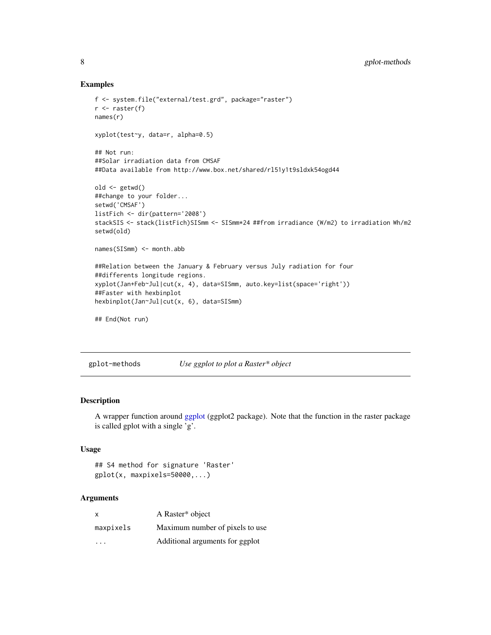#### Examples

```
f <- system.file("external/test.grd", package="raster")
r \leftarrow raster(f)
names(r)
xyplot(test~y, data=r, alpha=0.5)
## Not run:
##Solar irradiation data from CMSAF
##Data available from http://www.box.net/shared/rl51y1t9sldxk54ogd44
old <- getwd()
##change to your folder...
setwd('CMSAF')
listFich <- dir(pattern='2008')
stackSIS <- stack(listFich)SISmm <- SISmm*24 ##from irradiance (W/m2) to irradiation Wh/m2
setwd(old)
names(SISmm) <- month.abb
##Relation between the January & February versus July radiation for four
##differents longitude regions.
xyplot(Jan+Feb~Jul|cut(x, 4), data=SISmm, auto.key=list(space='right'))
##Faster with hexbinplot
hexbinplot(Jan~Jul|cut(x, 6), data=SISmm)
## End(Not run)
```
gplot-methods *Use ggplot to plot a Raster\* object*

#### Description

A wrapper function around [ggplot](#page-0-0) (ggplot2 package). Note that the function in the raster package is called gplot with a single 'g'.

# Usage

```
## S4 method for signature 'Raster'
gplot(x, maxpixels=50000,...)
```

| $\mathsf{x}$ | A Raster* object                |
|--------------|---------------------------------|
| maxpixels    | Maximum number of pixels to use |
| .            | Additional arguments for ggplot |

<span id="page-7-0"></span>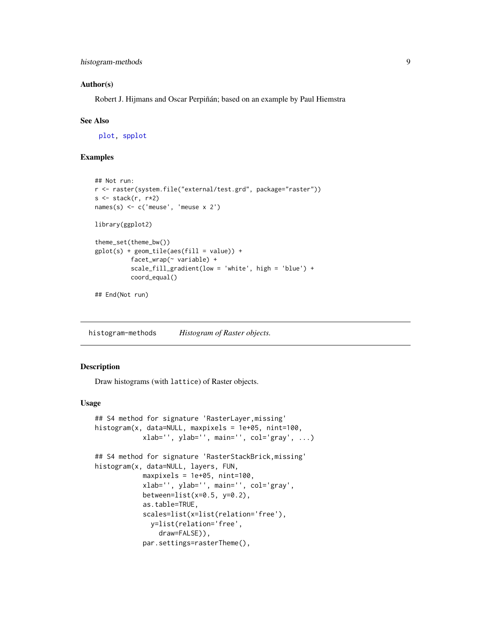#### <span id="page-8-0"></span>Author(s)

Robert J. Hijmans and Oscar Perpiñán; based on an example by Paul Hiemstra

#### See Also

[plot,](#page-0-0) [spplot](#page-0-0)

# Examples

```
## Not run:
r <- raster(system.file("external/test.grd", package="raster"))
s \leftarrow \text{stack}(r, r \star 2)names(s) <- c('meuse', 'meuse x 2')
library(ggplot2)
theme_set(theme_bw())
gplot(s) + geom\_tile(aes(fill = value)) +facet_wrap(~ variable) +
          scale_fill_gradient(low = 'white', high = 'blue') +
          coord_equal()
```
## End(Not run)

histogram-methods *Histogram of Raster objects.*

#### <span id="page-8-1"></span>Description

Draw histograms (with lattice) of Raster objects.

# Usage

```
## S4 method for signature 'RasterLayer,missing'
histogram(x, data=NULL, maxpixels = 1e+05, nint=100,
            xlab='', ylab='', main='', col='gray', ...)
## S4 method for signature 'RasterStackBrick,missing'
histogram(x, data=NULL, layers, FUN,
            maxpixels = 1e+05, nint=100,
            xlab='', ylab='', main='', col='gray',
            between=list(x=0.5, y=0.2),
            as.table=TRUE,
            scales=list(x=list(relation='free'),
              y=list(relation='free',
                draw=FALSE)),
            par.settings=rasterTheme(),
```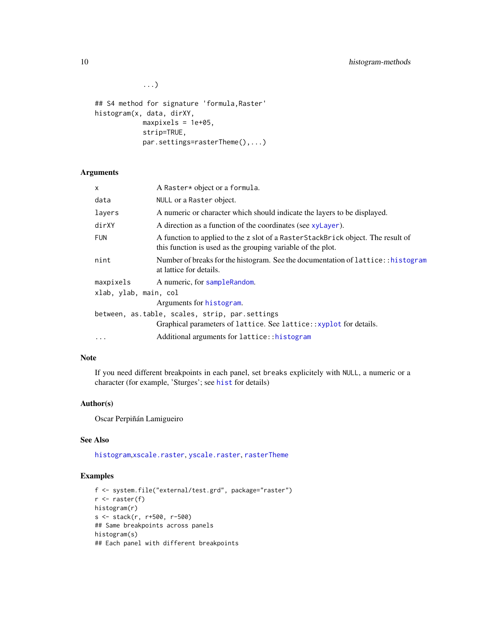...)

```
## S4 method for signature 'formula,Raster'
histogram(x, data, dirXY,
            maxpixels = 1e+05,
            strip=TRUE,
            par.settings=rasterTheme(),...)
```
# Arguments

| X                     | A Raster* object or a formula.                                                                                                                 |  |  |  |  |  |  |
|-----------------------|------------------------------------------------------------------------------------------------------------------------------------------------|--|--|--|--|--|--|
| data                  | NULL or a Raster object.                                                                                                                       |  |  |  |  |  |  |
| layers                | A numeric or character which should indicate the layers to be displayed.                                                                       |  |  |  |  |  |  |
| dirXY                 | A direction as a function of the coordinates (see xylayer).                                                                                    |  |  |  |  |  |  |
| <b>FUN</b>            | A function to applied to the z slot of a RasterStackBrick object. The result of<br>this function is used as the grouping variable of the plot. |  |  |  |  |  |  |
| nint                  | Number of breaks for the histogram. See the documentation of lattice::histogram<br>at lattice for details.                                     |  |  |  |  |  |  |
| maxpixels             | A numeric, for sampleRandom.                                                                                                                   |  |  |  |  |  |  |
| xlab, ylab, main, col |                                                                                                                                                |  |  |  |  |  |  |
|                       | Arguments for histogram.                                                                                                                       |  |  |  |  |  |  |
|                       | between, as.table, scales, strip, par.settings                                                                                                 |  |  |  |  |  |  |
|                       | Graphical parameters of lattice. See lattice:: xyplot for details.                                                                             |  |  |  |  |  |  |
| .                     | Additional arguments for lattice:: histogram                                                                                                   |  |  |  |  |  |  |

# Note

If you need different breakpoints in each panel, set breaks explicitely with NULL, a numeric or a character (for example, 'Sturges'; see [hist](#page-0-0) for details)

#### Author(s)

Oscar Perpiñán Lamigueiro

# See Also

[histogram](#page-8-1),[xscale.raster](#page-27-1), [yscale.raster](#page-27-1), [rasterTheme](#page-27-2)

```
f <- system.file("external/test.grd", package="raster")
r \leftarrow raster(f)
histogram(r)
s <- stack(r, r+500, r-500)
## Same breakpoints across panels
histogram(s)
## Each panel with different breakpoints
```
<span id="page-9-0"></span>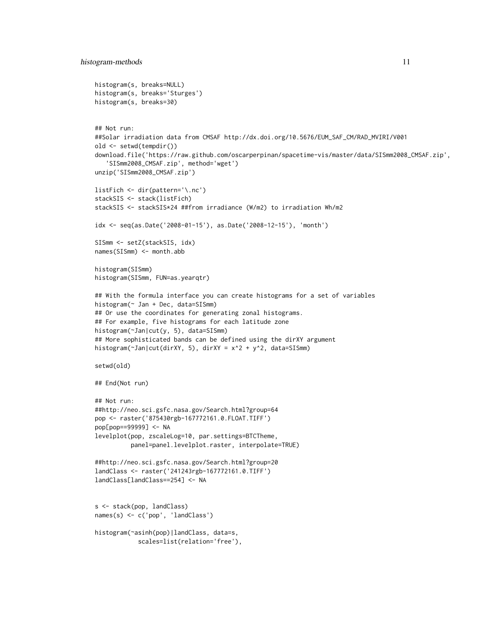```
histogram(s, breaks=NULL)
histogram(s, breaks='Sturges')
histogram(s, breaks=30)
## Not run:
##Solar irradiation data from CMSAF http://dx.doi.org/10.5676/EUM_SAF_CM/RAD_MVIRI/V001
old <- setwd(tempdir())
download.file('https://raw.github.com/oscarperpinan/spacetime-vis/master/data/SISmm2008_CMSAF.zip',
   'SISmm2008_CMSAF.zip', method='wget')
unzip('SISmm2008_CMSAF.zip')
listFich <- dir(pattern='\.nc')
stackSIS <- stack(listFich)
stackSIS <- stackSIS*24 ##from irradiance (W/m2) to irradiation Wh/m2
idx <- seq(as.Date('2008-01-15'), as.Date('2008-12-15'), 'month')
SISmm <- setZ(stackSIS, idx)
names(SISmm) <- month.abb
histogram(SISmm)
histogram(SISmm, FUN=as.yearqtr)
## With the formula interface you can create histograms for a set of variables
histogram(~ Jan + Dec, data=SISmm)
## Or use the coordinates for generating zonal histograms.
## For example, five histograms for each latitude zone
histogram(~Jan|cut(y, 5), data=SISmm)
## More sophisticated bands can be defined using the dirXY argument
histogram(~Jan|cut(dirXY, 5), dirXY = x^2 + y^2, data=SISmm)
setwd(old)
## End(Not run)
## Not run:
##http://neo.sci.gsfc.nasa.gov/Search.html?group=64
pop <- raster('875430rgb-167772161.0.FLOAT.TIFF')
pop[pop==99999] <- NA
levelplot(pop, zscaleLog=10, par.settings=BTCTheme,
          panel=panel.levelplot.raster, interpolate=TRUE)
##http://neo.sci.gsfc.nasa.gov/Search.html?group=20
landClass <- raster('241243rgb-167772161.0.TIFF')
landClass[landClass==254] <- NA
s <- stack(pop, landClass)
names(s) <- c('pop', 'landClass')
histogram(~asinh(pop)|landClass, data=s,
            scales=list(relation='free'),
```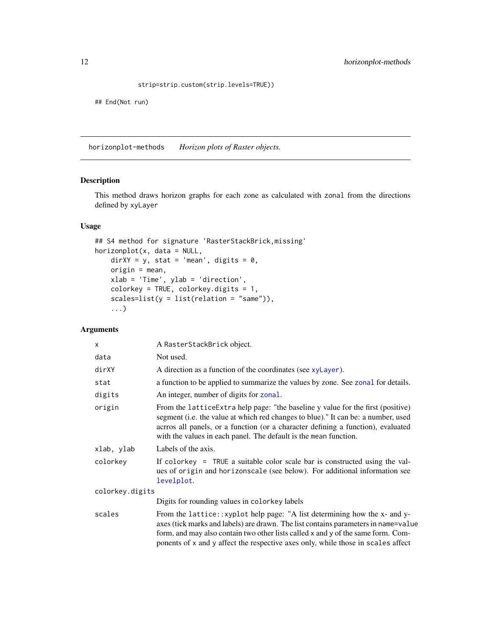```
strip=strip.custom(strip.levels=TRUE))
```
<span id="page-11-0"></span>## End(Not run)

horizonplot-methods *Horizon plots of Raster objects.*

# <span id="page-11-1"></span>Description

This method draws horizon graphs for each zone as calculated with zonal from the directions defined by xyLayer

# Usage

```
## S4 method for signature 'RasterStackBrick,missing'
horizonplot(x, data = NULL,
   dirXY = y, stat = 'mean', digits = 0,
   origin = mean,
   xlab = 'Time', ylab = 'direction',
   colorkey = TRUE, colorkey.digits = 1,
    scales=list(y = list(relation = "same")),
    ...)
```

| x               | A RasterStackBrick object.                                                                                                                                                                                                                                                                                                              |
|-----------------|-----------------------------------------------------------------------------------------------------------------------------------------------------------------------------------------------------------------------------------------------------------------------------------------------------------------------------------------|
| data            | Not used.                                                                                                                                                                                                                                                                                                                               |
| dirXY           | A direction as a function of the coordinates (see xyLayer).                                                                                                                                                                                                                                                                             |
| stat            | a function to be applied to summarize the values by zone. See zonal for details.                                                                                                                                                                                                                                                        |
| digits          | An integer, number of digits for zonal.                                                                                                                                                                                                                                                                                                 |
| origin          | From the lattice Extra help page: "the baseline y value for the first (positive)<br>segment (i.e. the value at which red changes to blue)." It can be: a number, used<br>acrros all panels, or a function (or a character defining a function), evaluated<br>with the values in each panel. The default is the mean function.           |
| xlab, ylab      | Labels of the axis.                                                                                                                                                                                                                                                                                                                     |
| colorkey        | If colorkey = TRUE a suitable color scale bar is constructed using the val-<br>ues of origin and horizonscale (see below). For additional information see<br>levelplot.                                                                                                                                                                 |
| colorkey.digits |                                                                                                                                                                                                                                                                                                                                         |
|                 | Digits for rounding values in colorkey labels                                                                                                                                                                                                                                                                                           |
| scales          | From the lattice::xyplot help page: "A list determining how the x- and y-<br>axes (tick marks and labels) are drawn. The list contains parameters in name=value<br>form, and may also contain two other lists called x and y of the same form. Com-<br>ponents of x and y affect the respective axes only, while those in scales affect |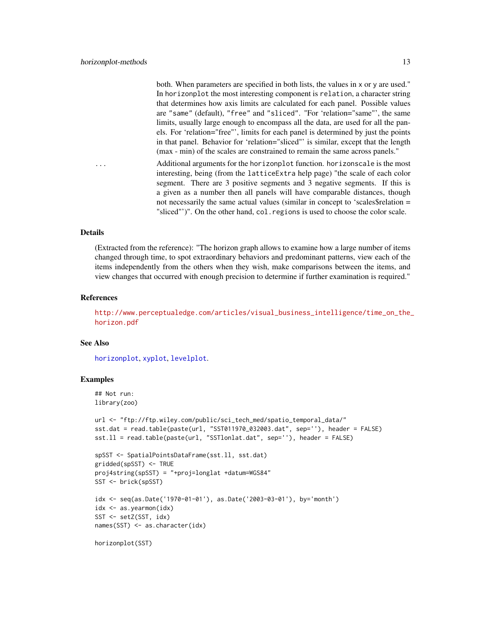<span id="page-12-0"></span>both. When parameters are specified in both lists, the values in x or y are used." In horizonplot the most interesting component is relation, a character string that determines how axis limits are calculated for each panel. Possible values are "same" (default), "free" and "sliced". "For 'relation="same"', the same limits, usually large enough to encompass all the data, are used for all the panels. For 'relation="free"', limits for each panel is determined by just the points in that panel. Behavior for 'relation="sliced"' is similar, except that the length (max - min) of the scales are constrained to remain the same across panels."

... Additional arguments for the horizonplot function. horizonscale is the most interesting, being (from the latticeExtra help page) "the scale of each color segment. There are 3 positive segments and 3 negative segments. If this is a given as a number then all panels will have comparable distances, though not necessarily the same actual values (similar in concept to 'scales\$relation = "sliced"')". On the other hand, col.regions is used to choose the color scale.

#### Details

(Extracted from the reference): "The horizon graph allows to examine how a large number of items changed through time, to spot extraordinary behaviors and predominant patterns, view each of the items independently from the others when they wish, make comparisons between the items, and view changes that occurred with enough precision to determine if further examination is required."

#### References

[http://www.perceptualedge.com/articles/visual\\_business\\_intelligence/time\\_on\\_the\\_](http://www.perceptualedge.com/articles/visual_business_intelligence/time_on_the_horizon.pdf) [horizon.pdf](http://www.perceptualedge.com/articles/visual_business_intelligence/time_on_the_horizon.pdf)

#### See Also

[horizonplot](#page-11-1), [xyplot](#page-35-1), [levelplot](#page-18-1).

```
## Not run:
library(zoo)
```

```
url <- "ftp://ftp.wiley.com/public/sci_tech_med/spatio_temporal_data/"
sst.dat = read.table(paste(url, "SST011970_032003.dat", sep=''), header = FALSE)
sst.ll = read.table(paste(url, "SSTlonlat.dat", sep=''), header = FALSE)
```

```
spSST <- SpatialPointsDataFrame(sst.ll, sst.dat)
gridded(spSST) <- TRUE
proj4string(spSST) = "+proj=longlat +datum=WGS84"
SST <- brick(spSST)
idx <- seq(as.Date('1970-01-01'), as.Date('2003-03-01'), by='month')
idx <- as.yearmon(idx)
```

```
SST <- setZ(SST, idx)
names(SST) <- as.character(idx)
```

```
horizonplot(SST)
```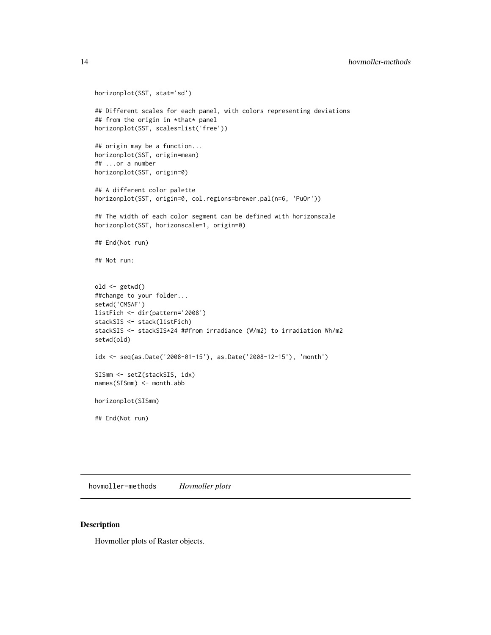```
horizonplot(SST, stat='sd')
## Different scales for each panel, with colors representing deviations
## from the origin in *that* panel
horizonplot(SST, scales=list('free'))
## origin may be a function...
horizonplot(SST, origin=mean)
## ...or a number
horizonplot(SST, origin=0)
## A different color palette
horizonplot(SST, origin=0, col.regions=brewer.pal(n=6, 'PuOr'))
## The width of each color segment can be defined with horizonscale
horizonplot(SST, horizonscale=1, origin=0)
## End(Not run)
## Not run:
old <- getwd()
##change to your folder...
setwd('CMSAF')
listFich <- dir(pattern='2008')
stackSIS <- stack(listFich)
stackSIS <- stackSIS*24 ##from irradiance (W/m2) to irradiation Wh/m2
setwd(old)
idx <- seq(as.Date('2008-01-15'), as.Date('2008-12-15'), 'month')
SISmm <- setZ(stackSIS, idx)
names(SISmm) <- month.abb
horizonplot(SISmm)
## End(Not run)
```
hovmoller-methods *Hovmoller plots*

# Description

Hovmoller plots of Raster objects.

<span id="page-13-0"></span>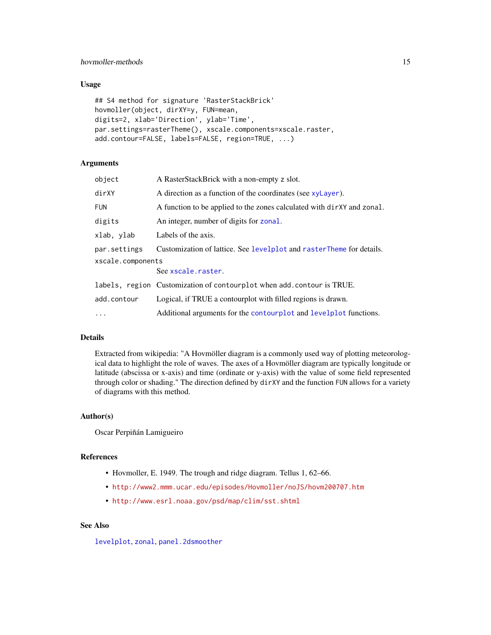# <span id="page-14-0"></span>hovmoller-methods and the state of the state of the state of the state of the state of the state of the state of the state of the state of the state of the state of the state of the state of the state of the state of the s

# Usage

```
## S4 method for signature 'RasterStackBrick'
hovmoller(object, dirXY=y, FUN=mean,
digits=2, xlab='Direction', ylab='Time',
par.settings=rasterTheme(), xscale.components=xscale.raster,
add.contour=FALSE, labels=FALSE, region=TRUE, ...)
```
# Arguments

| object            | A RasterStackBrick with a non-empty z slot.                            |
|-------------------|------------------------------------------------------------------------|
| dirXY             | A direction as a function of the coordinates (see xyLayer).            |
| <b>FUN</b>        | A function to be applied to the zones calculated with dirXY and zonal. |
| digits            | An integer, number of digits for zonal.                                |
| xlab, ylab        | Labels of the axis.                                                    |
| par.settings      | Customization of lattice. See levelplot and rasterTheme for details.   |
| xscale.components |                                                                        |
|                   | See xscale.raster.                                                     |
|                   | labels, region Customization of contourplot when add. contour is TRUE. |
| add.contour       | Logical, if TRUE a contourplot with filled regions is drawn.           |
| $\ldots$          | Additional arguments for the contourplot and levelplot functions.      |

# Details

Extracted from wikipedia: "A Hovmöller diagram is a commonly used way of plotting meteorological data to highlight the role of waves. The axes of a Hovmöller diagram are typically longitude or latitude (abscissa or x-axis) and time (ordinate or y-axis) with the value of some field represented through color or shading." The direction defined by dirXY and the function FUN allows for a variety of diagrams with this method.

#### Author(s)

Oscar Perpiñán Lamigueiro

#### References

- Hovmoller, E. 1949. The trough and ridge diagram. Tellus 1, 62–66.
- <http://www2.mmm.ucar.edu/episodes/Hovmoller/noJS/hovm200707.htm>
- <http://www.esrl.noaa.gov/psd/map/clim/sst.shtml>

# See Also

[levelplot](#page-18-1), [zonal](#page-0-0), [panel.2dsmoother](#page-0-0)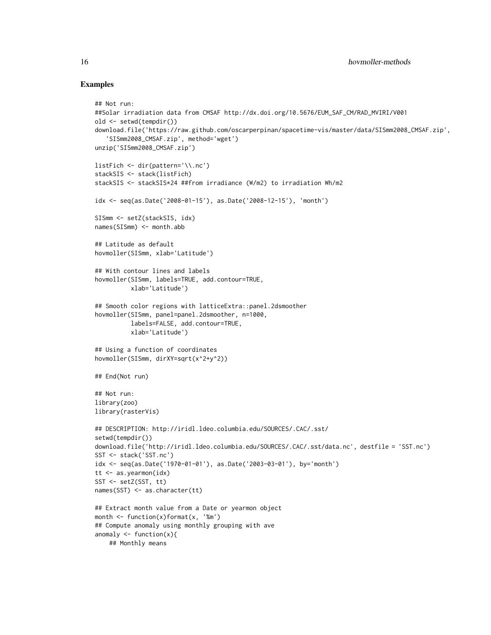```
## Not run:
##Solar irradiation data from CMSAF http://dx.doi.org/10.5676/EUM_SAF_CM/RAD_MVIRI/V001
old <- setwd(tempdir())
download.file('https://raw.github.com/oscarperpinan/spacetime-vis/master/data/SISmm2008_CMSAF.zip',
   'SISmm2008_CMSAF.zip', method='wget')
unzip('SISmm2008_CMSAF.zip')
listFich <- dir(pattern='\\.nc')
stackSIS <- stack(listFich)
stackSIS <- stackSIS*24 ##from irradiance (W/m2) to irradiation Wh/m2
idx <- seq(as.Date('2008-01-15'), as.Date('2008-12-15'), 'month')
SISmm <- setZ(stackSIS, idx)
names(SISmm) <- month.abb
## Latitude as default
hovmoller(SISmm, xlab='Latitude')
## With contour lines and labels
hovmoller(SISmm, labels=TRUE, add.contour=TRUE,
          xlab='Latitude')
## Smooth color regions with latticeExtra::panel.2dsmoother
hovmoller(SISmm, panel=panel.2dsmoother, n=1000,
          labels=FALSE, add.contour=TRUE,
          xlab='Latitude')
## Using a function of coordinates
hovmoller(SISmm, dirXY=sqrt(x^2+y^2))
## End(Not run)
## Not run:
library(zoo)
library(rasterVis)
## DESCRIPTION: http://iridl.ldeo.columbia.edu/SOURCES/.CAC/.sst/
setwd(tempdir())
download.file('http://iridl.ldeo.columbia.edu/SOURCES/.CAC/.sst/data.nc', destfile = 'SST.nc')
SST <- stack('SST.nc')
idx <- seq(as.Date('1970-01-01'), as.Date('2003-03-01'), by='month')
tt <- as.yearmon(idx)
SST <- setZ(SST, tt)
names(SST) <- as.character(tt)
## Extract month value from a Date or yearmon object
month \leq function(x)format(x, '%m')
## Compute anomaly using monthly grouping with ave
anomaly \leq function(x){
   ## Monthly means
```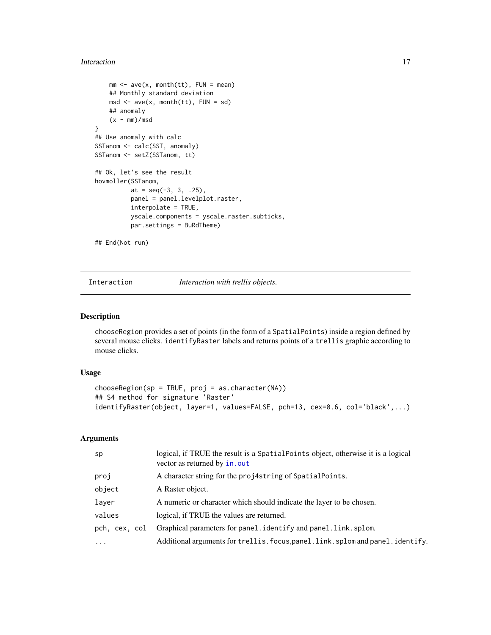#### <span id="page-16-0"></span>Interaction 17

```
mm < -</math> ave(x, month(tt), FUN = mean)## Monthly standard deviation
    msd \leftarrow ave(x, month(tt), FUN = sd)## anomaly
    (x - mm)/msd}
## Use anomaly with calc
SSTanom <- calc(SST, anomaly)
SSTanom <- setZ(SSTanom, tt)
## Ok, let's see the result
hovmoller(SSTanom,
          at = seq(-3, 3, .25),
          panel = panel.levelplot.raster,
          interpolate = TRUE,
          yscale.components = yscale.raster.subticks,
          par.settings = BuRdTheme)
```
## End(Not run)

Interaction *Interaction with trellis objects.*

#### Description

chooseRegion provides a set of points (in the form of a SpatialPoints) inside a region defined by several mouse clicks. identifyRaster labels and returns points of a trellis graphic according to mouse clicks.

#### Usage

```
chooseRegion(sp = TRUE, proj = as.character(NA))
## S4 method for signature 'Raster'
identifyRaster(object, layer=1, values=FALSE, pch=13, cex=0.6, col='black',...)
```

| sp                | logical, if TRUE the result is a SpatialPoints object, otherwise it is a logical<br>vector as returned by in.out |
|-------------------|------------------------------------------------------------------------------------------------------------------|
| proj              | A character string for the proj4string of SpatialPoints.                                                         |
| object            | A Raster object.                                                                                                 |
| layer             | A numeric or character which should indicate the layer to be chosen.                                             |
| values            | logical, if TRUE the values are returned.                                                                        |
| pch, cex, col     | Graphical parameters for panel.identify and panel.link.splom.                                                    |
| $\cdot\cdot\cdot$ | Additional arguments for trellis. focus, panel. link. splom and panel. identify.                                 |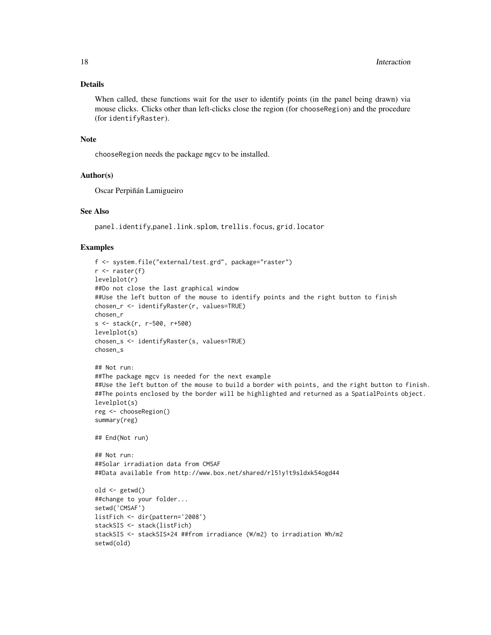# Details

When called, these functions wait for the user to identify points (in the panel being drawn) via mouse clicks. Clicks other than left-clicks close the region (for chooseRegion) and the procedure (for identifyRaster).

#### Note

chooseRegion needs the package mgcv to be installed.

#### Author(s)

Oscar Perpiñán Lamigueiro

#### See Also

panel.identify,panel.link.splom, trellis.focus, grid.locator

```
f <- system.file("external/test.grd", package="raster")
r <- raster(f)
levelplot(r)
##Do not close the last graphical window
##Use the left button of the mouse to identify points and the right button to finish
chosen_r <- identifyRaster(r, values=TRUE)
chosen_r
s <- stack(r, r-500, r+500)
levelplot(s)
chosen_s <- identifyRaster(s, values=TRUE)
chosen_s
## Not run:
##The package mgcv is needed for the next example
##Use the left button of the mouse to build a border with points, and the right button to finish.
##The points enclosed by the border will be highlighted and returned as a SpatialPoints object.
levelplot(s)
reg <- chooseRegion()
summary(reg)
## End(Not run)
## Not run:
##Solar irradiation data from CMSAF
##Data available from http://www.box.net/shared/rl51y1t9sldxk54ogd44
old <- getwd()
##change to your folder...
setwd('CMSAF')
listFich <- dir(pattern='2008')
stackSIS <- stack(listFich)
stackSIS <- stackSIS*24 ##from irradiance (W/m2) to irradiation Wh/m2
setwd(old)
```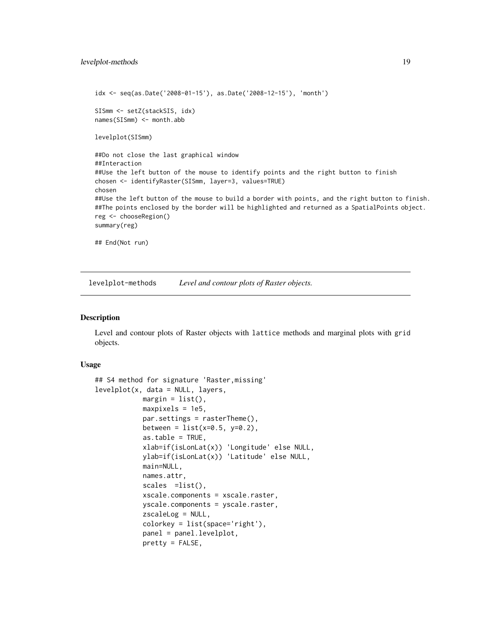```
idx <- seq(as.Date('2008-01-15'), as.Date('2008-12-15'), 'month')
SISmm <- setZ(stackSIS, idx)
names(SISmm) <- month.abb
levelplot(SISmm)
##Do not close the last graphical window
##Interaction
##Use the left button of the mouse to identify points and the right button to finish
chosen <- identifyRaster(SISmm, layer=3, values=TRUE)
chosen
##Use the left button of the mouse to build a border with points, and the right button to finish.
##The points enclosed by the border will be highlighted and returned as a SpatialPoints object.
reg <- chooseRegion()
summary(reg)
## End(Not run)
```
levelplot-methods *Level and contour plots of Raster objects.*

# <span id="page-18-1"></span>Description

Level and contour plots of Raster objects with lattice methods and marginal plots with grid objects.

#### Usage

```
## S4 method for signature 'Raster,missing'
levelplot(x, data = NULL, layers,margin = list(),
            maxpixels = 1e5,
            par.settings = rasterTheme(),
            between = list(x=0.5, y=0.2),
            as.table = TRUE,
            xlab=if(isLonLat(x)) 'Longitude' else NULL,
            ylab=if(isLonLat(x)) 'Latitude' else NULL,
            main=NULL,
            names.attr,
            scales =list(),
            xscale.components = xscale.raster,
            yscale.components = yscale.raster,
            zscaleLog = NULL,
            colorkey = list(space='right'),
            panel = panel.levelplot,
            pretty = FALSE,
```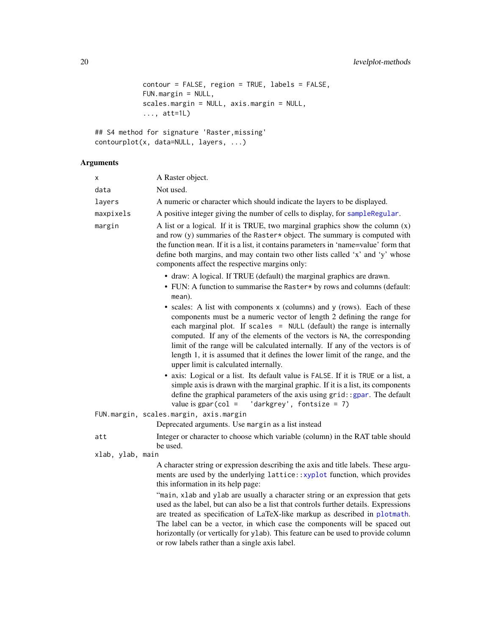```
contour = FALSE, region = TRUE, labels = FALSE,
FUN.margin = NULL,
scales.margin = NULL, axis.margin = NULL,
..., att=1L)
```

```
## S4 method for signature 'Raster,missing'
contourplot(x, data=NULL, layers, ...)
```

| х                | A Raster object.                                                                                                                                                                                                                                                                                                                                                                                                                                                                                                    |
|------------------|---------------------------------------------------------------------------------------------------------------------------------------------------------------------------------------------------------------------------------------------------------------------------------------------------------------------------------------------------------------------------------------------------------------------------------------------------------------------------------------------------------------------|
| data             | Not used.                                                                                                                                                                                                                                                                                                                                                                                                                                                                                                           |
| layers           | A numeric or character which should indicate the layers to be displayed.                                                                                                                                                                                                                                                                                                                                                                                                                                            |
| maxpixels        | A positive integer giving the number of cells to display, for sampleRegular.                                                                                                                                                                                                                                                                                                                                                                                                                                        |
| margin           | A list or a logical. If it is TRUE, two marginal graphics show the column $(x)$<br>and row (y) summaries of the Raster* object. The summary is computed with<br>the function mean. If it is a list, it contains parameters in 'name=value' form that<br>define both margins, and may contain two other lists called 'x' and 'y' whose<br>components affect the respective margins only:                                                                                                                             |
|                  | • draw: A logical. If TRUE (default) the marginal graphics are drawn.<br>• FUN: A function to summarise the Raster* by rows and columns (default:<br>mean).                                                                                                                                                                                                                                                                                                                                                         |
|                  | • scales: A list with components x (columns) and y (rows). Each of these<br>components must be a numeric vector of length 2 defining the range for<br>each marginal plot. If scales = NULL (default) the range is internally<br>computed. If any of the elements of the vectors is NA, the corresponding<br>limit of the range will be calculated internally. If any of the vectors is of<br>length 1, it is assumed that it defines the lower limit of the range, and the<br>upper limit is calculated internally. |
|                  | • axis: Logical or a list. Its default value is FALSE. If it is TRUE or a list, a<br>simple axis is drawn with the marginal graphic. If it is a list, its components<br>define the graphical parameters of the axis using grid: : gpar. The default<br>'darkgrey', fontsize = 7)<br>value is $gpar(col =$                                                                                                                                                                                                           |
|                  | FUN.margin, scales.margin, axis.margin                                                                                                                                                                                                                                                                                                                                                                                                                                                                              |
|                  | Deprecated arguments. Use margin as a list instead                                                                                                                                                                                                                                                                                                                                                                                                                                                                  |
| att              | Integer or character to choose which variable (column) in the RAT table should<br>be used.                                                                                                                                                                                                                                                                                                                                                                                                                          |
| xlab, ylab, main |                                                                                                                                                                                                                                                                                                                                                                                                                                                                                                                     |
|                  | A character string or expression describing the axis and title labels. These argu-<br>ments are used by the underlying lattice::xyplot function, which provides<br>this information in its help page:                                                                                                                                                                                                                                                                                                               |
|                  | "main, xlab and ylab are usually a character string or an expression that gets<br>used as the label, but can also be a list that controls further details. Expressions<br>are treated as specification of LaTeX-like markup as described in plotmath.<br>The label can be a vector, in which case the components will be spaced out<br>horizontally (or vertically for y1ab). This feature can be used to provide column<br>or row labels rather than a single axis label.                                          |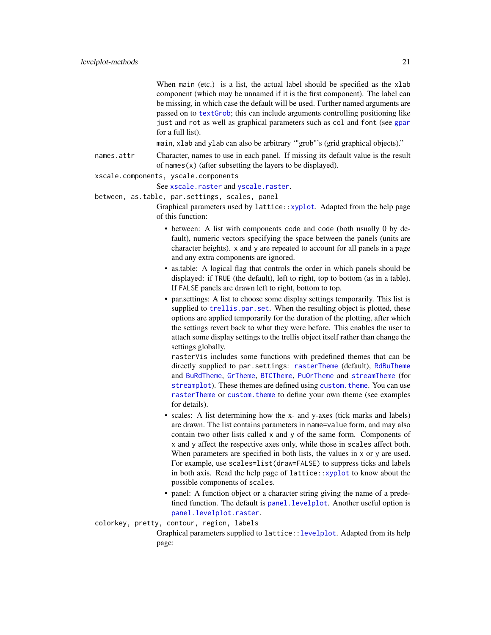<span id="page-20-0"></span>When main (etc.) is a list, the actual label should be specified as the xlab component (which may be unnamed if it is the first component). The label can be missing, in which case the default will be used. Further named arguments are passed on to [textGrob](#page-0-0); this can include arguments controlling positioning like just and rot as well as graphical parameters such as col and font (see [gpar](#page-0-0) for a full list).

main, xlab and ylab can also be arbitrary '"grob"'s (grid graphical objects)."

names.attr Character, names to use in each panel. If missing its default value is the result of names $(x)$  (after subsetting the layers to be displayed).

#### xscale.components, [yscale.compone](#page-27-1)nts

See xscale.raster and [yscale.raster](#page-27-1).

- between, as.table, par.settings, scales, panel
	- Graphical parameters used by lattice:[:xyplot](#page-35-1). Adapted from the help page of this function:
		- between: A list with components code and code (both usually 0 by default), numeric vectors specifying the space between the panels (units are character heights). x and y are repeated to account for all panels in a page and any extra components are ignored.
		- as.table: A logical flag that controls the order in which panels should be displayed: if TRUE (the default), left to right, top to bottom (as in a table). If FALSE panels are drawn left to right, bottom to top.
		- par.settings: A list to choose some display settings temporarily. This list is supplied to [trellis.par.set](#page-0-0). When the resulting object is plotted, these options are applied temporarily for the duration of the plotting, after which the settings revert back to what they were before. This enables the user to attach some display settings to the trellis object itself rather than change the settings globally.

rasterVis includes some functions with predefined themes that can be directly supplied to par. settings: [rasterTheme](#page-27-2) (default), [RdBuTheme](#page-27-1) and [BuRdTheme](#page-27-1), [GrTheme](#page-27-1), [BTCTheme](#page-27-1), [PuOrTheme](#page-27-1) and [streamTheme](#page-27-1) (for [streamplot](#page-29-1)). These themes are defined using custom. theme. You can use [rasterTheme](#page-27-2) or [custom.theme](#page-0-0) to define your own theme (see examples for details).

- scales: A list determining how the x- and y-axes (tick marks and labels) are drawn. The list contains parameters in name=value form, and may also contain two other lists called x and y of the same form. Components of x and y affect the respective axes only, while those in scales affect both. When parameters are specified in both lists, the values in x or y are used. For example, use scales=list(draw=FALSE) to suppress ticks and labels in both axis. Read the help page of lattice:: $xyplot$  to know about the possible components of scales.
- panel: A function object or a character string giving the name of a predefined function. The default is [panel.levelplot](#page-0-0). Another useful option is [panel.levelplot.raster](#page-0-0).
- colorkey, pretty, contour, region, labels

Graphical parameters supplied to lattice:[:levelplot](#page-18-1). Adapted from its help page: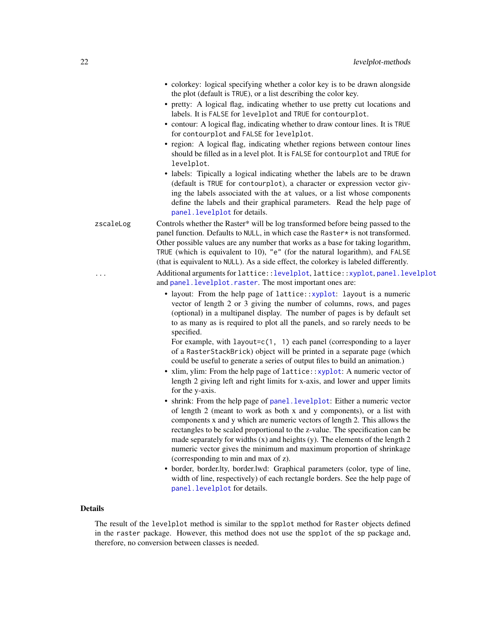- <span id="page-21-0"></span>• colorkey: logical specifying whether a color key is to be drawn alongside the plot (default is TRUE), or a list describing the color key.
- pretty: A logical flag, indicating whether to use pretty cut locations and labels. It is FALSE for levelplot and TRUE for contourplot.
- contour: A logical flag, indicating whether to draw contour lines. It is TRUE for contourplot and FALSE for levelplot.
- region: A logical flag, indicating whether regions between contour lines should be filled as in a level plot. It is FALSE for contourplot and TRUE for levelplot.
- labels: Tipically a logical indicating whether the labels are to be drawn (default is TRUE for contourplot), a character or expression vector giving the labels associated with the at values, or a list whose components define the labels and their graphical parameters. Read the help page of [panel.levelplot](#page-0-0) for details.

zscaleLog Controls whether the Raster\* will be log transformed before being passed to the panel function. Defaults to NULL, in which case the Raster\* is not transformed. Other possible values are any number that works as a base for taking logarithm, TRUE (which is equivalent to 10), "e" (for the natural logarithm), and FALSE (that is equivalent to NULL). As a side effect, the colorkey is labeled differently. Additional arguments for lattice:[:levelplot](#page-18-1), lattice:[:xyplot](#page-35-1), [panel.levelplot](#page-0-0) and [panel.levelplot.raster](#page-0-0). The most important ones are:

> • layout: From the help page of lattice:[:xyplot](#page-35-1): layout is a numeric vector of length 2 or 3 giving the number of columns, rows, and pages (optional) in a multipanel display. The number of pages is by default set to as many as is required to plot all the panels, and so rarely needs to be specified.

For example, with layout= $c(1, 1)$  each panel (corresponding to a layer of a RasterStackBrick) object will be printed in a separate page (which could be useful to generate a series of output files to build an animation.)

- xlim, ylim: From the help page of lattice:: xyplot: A numeric vector of length 2 giving left and right limits for x-axis, and lower and upper limits for the y-axis.
- shrink: From the help page of [panel.levelplot](#page-0-0): Either a numeric vector of length 2 (meant to work as both x and y components), or a list with components x and y which are numeric vectors of length 2. This allows the rectangles to be scaled proportional to the z-value. The specification can be made separately for widths  $(x)$  and heights  $(y)$ . The elements of the length 2 numeric vector gives the minimum and maximum proportion of shrinkage (corresponding to min and max of z).
- border, border.lty, border.lwd: Graphical parameters (color, type of line, width of line, respectively) of each rectangle borders. See the help page of [panel.levelplot](#page-0-0) for details.

# Details

The result of the levelplot method is similar to the spplot method for Raster objects defined in the raster package. However, this method does not use the spplot of the sp package and, therefore, no conversion between classes is needed.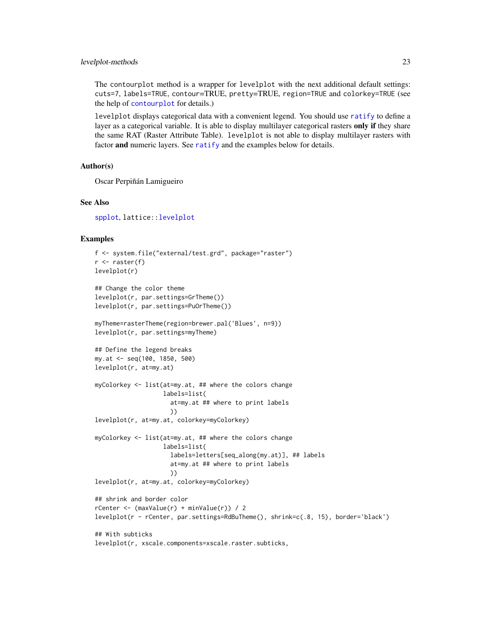# <span id="page-22-0"></span>levelplot-methods 23

The contourplot method is a wrapper for levelplot with the next additional default settings: cuts=7, labels=TRUE, contour=TRUE, pretty=TRUE, region=TRUE and colorkey=TRUE (see the help of [contourplot](#page-18-1) for details.)

levelplot displays categorical data with a convenient legend. You should use [ratify](#page-0-0) to define a layer as a categorical variable. It is able to display multilayer categorical rasters only if they share the same RAT (Raster Attribute Table). levelplot is not able to display multilayer rasters with factor and numeric layers. See [ratify](#page-0-0) and the examples below for details.

#### Author(s)

Oscar Perpiñán Lamigueiro

#### See Also

[spplot](#page-0-0), lattice:[:levelplot](#page-18-1)

```
f <- system.file("external/test.grd", package="raster")
r <- raster(f)
levelplot(r)
## Change the color theme
levelplot(r, par.settings=GrTheme())
levelplot(r, par.settings=PuOrTheme())
myTheme=rasterTheme(region=brewer.pal('Blues', n=9))
levelplot(r, par.settings=myTheme)
## Define the legend breaks
my.at <- seq(100, 1850, 500)
levelplot(r, at=my.at)
myColorkey <- list(at=my.at, ## where the colors change
                   labels=list(
                     at=my.at ## where to print labels
                     ))
levelplot(r, at=my.at, colorkey=myColorkey)
myColorkey <- list(at=my.at, ## where the colors change
                   labels=list(
                     labels=letters[seq_along(my.at)], ## labels
                     at=my.at ## where to print labels
                     ))
levelplot(r, at=my.at, colorkey=myColorkey)
## shrink and border color
rCenter \leftarrow (maxValue(r) + minValue(r)) / 2levelplot(r - rCenter, par.settings=RdBuTheme(), shrink=c(.8, 15), border='black')
## With subticks
levelplot(r, xscale.components=xscale.raster.subticks,
```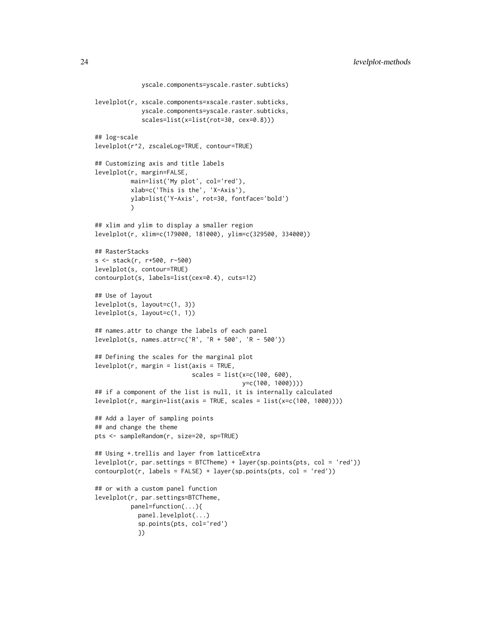```
yscale.components=yscale.raster.subticks)
levelplot(r, xscale.components=xscale.raster.subticks,
            yscale.components=yscale.raster.subticks,
             scales=list(x=list(rot=30, cex=0.8)))
## log-scale
levelplot(r^2, zscaleLog=TRUE, contour=TRUE)
## Customizing axis and title labels
levelplot(r, margin=FALSE,
         main=list('My plot', col='red'),
         xlab=c('This is the', 'X-Axis'),
         ylab=list('Y-Axis', rot=30, fontface='bold')
         )
## xlim and ylim to display a smaller region
levelplot(r, xlim=c(179000, 181000), ylim=c(329500, 334000))
## RasterStacks
s <- stack(r, r+500, r-500)
levelplot(s, contour=TRUE)
contourplot(s, labels=list(cex=0.4), cuts=12)
## Use of layout
levelplot(s, layout=c(1, 3))
levelplot(s, layout=c(1, 1))
## names.attr to change the labels of each panel
levelplot(s, names.attr=c('R', 'R + 500', 'R - 500'))
## Defining the scales for the marginal plot
levelplot(r, margin = list(axis = TRUE,scales = list(x=c(100, 600),y=c(100, 1000))))
## if a component of the list is null, it is internally calculated
levelplot(r, margin=list(axis = TRUE, scales = list(x=c(100, 1000))))
## Add a layer of sampling points
## and change the theme
pts <- sampleRandom(r, size=20, sp=TRUE)
## Using +.trellis and layer from latticeExtra
levelplot(r, par.settings = BTCTheme) + layer(sp.points(pts, col = 'red'))
contourplot(r, labels = FALSE) + layer(sp.points(pts, col = 'red'))## or with a custom panel function
levelplot(r, par.settings=BTCTheme,
         panel=function(...){
            panel.levelplot(...)
            sp.points(pts, col='red')
            })
```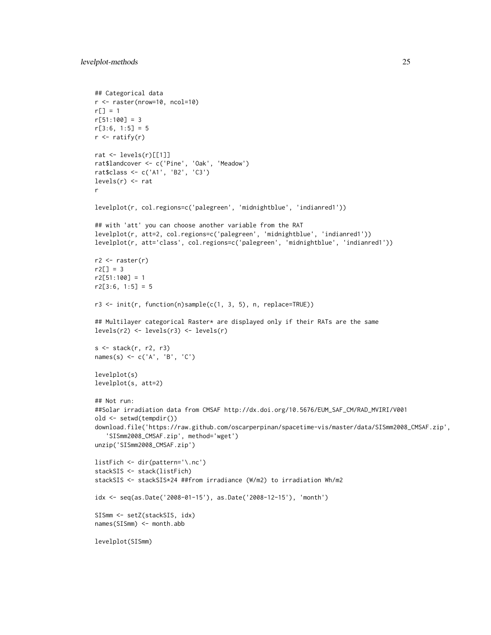```
## Categorical data
r <- raster(nrow=10, ncol=10)
r[] = 1r[51:100] = 3r[3:6, 1:5] = 5r \leftarrow ratify(r)
rat <- levels(r)[[1]]
rat$landcover <- c('Pine', 'Oak', 'Meadow')
rat$class <- c('A1', 'B2', 'C3')
levels(r) \leftarrow ratr
levelplot(r, col.regions=c('palegreen', 'midnightblue', 'indianred1'))
## with 'att' you can choose another variable from the RAT
levelplot(r, att=2, col.regions=c('palegreen', 'midnightblue', 'indianred1'))
levelplot(r, att='class', col.regions=c('palegreen', 'midnightblue', 'indianred1'))
r2 \leftarrow \text{raster}(r)r2[] = 3r2[51:100] = 1r2[3:6, 1:5] = 5r3 <- init(r, function(n)sample(c(1, 3, 5), n, replace=TRUE))
## Multilayer categorical Raster* are displayed only if their RATs are the same
levels(r2) <- levels(r3) <- levels(r)
s <- stack(r, r2, r3)
names(s) <- c('A', 'B', 'C')
levelplot(s)
levelplot(s, att=2)
## Not run:
##Solar irradiation data from CMSAF http://dx.doi.org/10.5676/EUM_SAF_CM/RAD_MVIRI/V001
old <- setwd(tempdir())
download.file('https://raw.github.com/oscarperpinan/spacetime-vis/master/data/SISmm2008_CMSAF.zip',
   'SISmm2008_CMSAF.zip', method='wget')
unzip('SISmm2008_CMSAF.zip')
listFich <- dir(pattern='\.nc')
stackSIS <- stack(listFich)
stackSIS <- stackSIS*24 ##from irradiance (W/m2) to irradiation Wh/m2
idx <- seq(as.Date('2008-01-15'), as.Date('2008-12-15'), 'month')
SISmm <- setZ(stackSIS, idx)
names(SISmm) <- month.abb
levelplot(SISmm)
```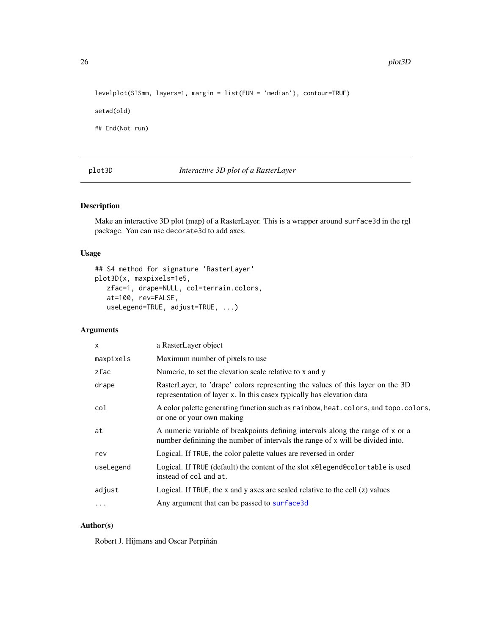```
levelplot(SISmm, layers=1, margin = list(FUN = 'median'), contour=TRUE)
```
setwd(old)

## End(Not run)

plot3D *Interactive 3D plot of a RasterLayer*

#### Description

Make an interactive 3D plot (map) of a RasterLayer. This is a wrapper around surface3d in the rgl package. You can use decorate3d to add axes.

# Usage

```
## S4 method for signature 'RasterLayer'
plot3D(x, maxpixels=1e5,
   zfac=1, drape=NULL, col=terrain.colors,
   at=100, rev=FALSE,
   useLegend=TRUE, adjust=TRUE, ...)
```
# Arguments

| $\mathsf{x}$ | a RasterLayer object                                                                                                                                             |
|--------------|------------------------------------------------------------------------------------------------------------------------------------------------------------------|
| maxpixels    | Maximum number of pixels to use                                                                                                                                  |
| zfac         | Numeric, to set the elevation scale relative to x and y                                                                                                          |
| drape        | RasterLayer, to 'drape' colors representing the values of this layer on the 3D<br>representation of layer x. In this casex typically has elevation data          |
| col          | A color palette generating function such as rainbow, heat. colors, and topo. colors,<br>or one or your own making                                                |
| at           | A numeric variable of breakpoints defining intervals along the range of x or a<br>number definining the number of intervals the range of x will be divided into. |
| rev          | Logical. If TRUE, the color palette values are reversed in order                                                                                                 |
| useLegend    | Logical. If TRUE (default) the content of the slot x@legend@colortable is used<br>instead of col and at.                                                         |
| adjust       | Logical. If TRUE, the x and y axes are scaled relative to the cell $(z)$ values                                                                                  |
| $\cdot$      | Any argument that can be passed to surface 3d                                                                                                                    |
|              |                                                                                                                                                                  |

# Author(s)

Robert J. Hijmans and Oscar Perpiñán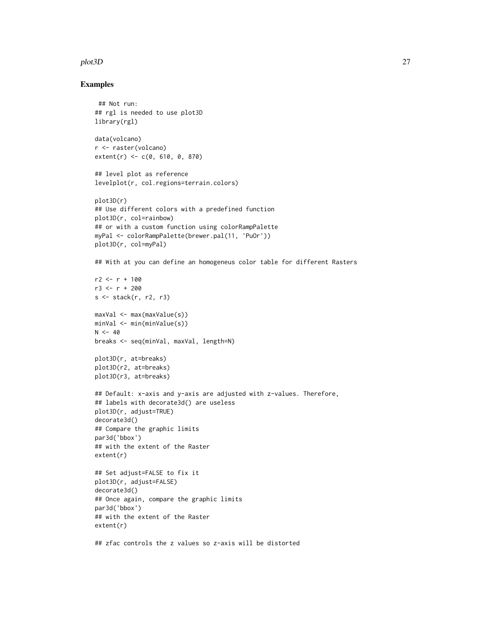#### plot3D 27

#### Examples

```
## Not run:
## rgl is needed to use plot3D
library(rgl)
data(volcano)
r <- raster(volcano)
extent(r) <- c(0, 610, 0, 870)
## level plot as reference
levelplot(r, col.regions=terrain.colors)
plot3D(r)
## Use different colors with a predefined function
plot3D(r, col=rainbow)
## or with a custom function using colorRampPalette
myPal <- colorRampPalette(brewer.pal(11, 'PuOr'))
plot3D(r, col=myPal)
## With at you can define an homogeneus color table for different Rasters
r2 < -r + 100r3 < -r + 200s <- stack(r, r2, r3)
maxVal <- max(maxValue(s))
minVal <- min(minValue(s))
N < -40breaks <- seq(minVal, maxVal, length=N)
plot3D(r, at=breaks)
plot3D(r2, at=breaks)
plot3D(r3, at=breaks)
## Default: x-axis and y-axis are adjusted with z-values. Therefore,
## labels with decorate3d() are useless
plot3D(r, adjust=TRUE)
decorate3d()
## Compare the graphic limits
par3d('bbox')
## with the extent of the Raster
extent(r)
## Set adjust=FALSE to fix it
plot3D(r, adjust=FALSE)
decorate3d()
## Once again, compare the graphic limits
par3d('bbox')
## with the extent of the Raster
extent(r)
```
## zfac controls the z values so z-axis will be distorted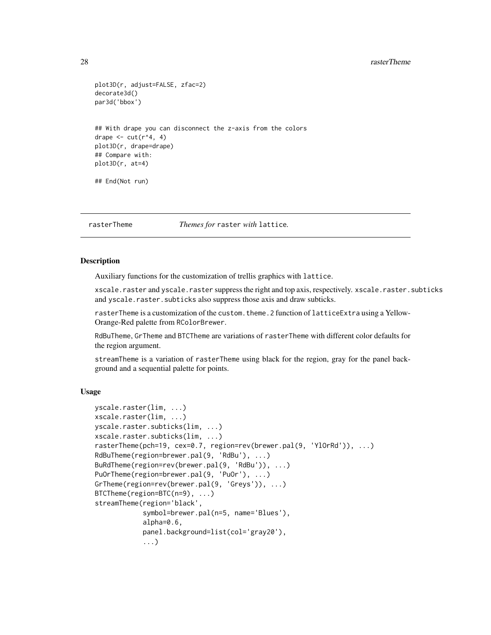#### 28 rasterTheme and the contract of the contract of the contract of the contract of the contract of the contract of the contract of the contract of the contract of the contract of the contract of the contract of the contrac

```
plot3D(r, adjust=FALSE, zfac=2)
decorate3d()
par3d('bbox')
## With drape you can disconnect the z-axis from the colors
drape \leq cut(r^4, 4)
plot3D(r, drape=drape)
## Compare with:
plot3D(r, at=4)
## End(Not run)
```
<span id="page-27-2"></span>rasterTheme *Themes for* raster *with* lattice*.*

# <span id="page-27-1"></span>**Description**

Auxiliary functions for the customization of trellis graphics with lattice.

xscale.raster and yscale.raster suppress the right and top axis, respectively. xscale.raster.subticks and yscale.raster.subticks also suppress those axis and draw subticks.

rasterTheme is a customization of the custom. theme. 2 function of latticeExtra using a Yellow-Orange-Red palette from RColorBrewer.

RdBuTheme, GrTheme and BTCTheme are variations of rasterTheme with different color defaults for the region argument.

streamTheme is a variation of rasterTheme using black for the region, gray for the panel background and a sequential palette for points.

# Usage

```
yscale.raster(lim, ...)
xscale.raster(lim, ...)
yscale.raster.subticks(lim, ...)
xscale.raster.subticks(lim, ...)
rasterTheme(pch=19, cex=0.7, region=rev(brewer.pal(9, 'YlOrRd')), ...)
RdBuTheme(region=brewer.pal(9, 'RdBu'), ...)
BuRdTheme(region=rev(brewer.pal(9, 'RdBu')), ...)
PuOrTheme(region=brewer.pal(9, 'PuOr'), ...)
GrTheme(region=rev(brewer.pal(9, 'Greys')), ...)
BTCTheme(region=BTC(n=9), ...)
streamTheme(region='black',
            symbol=brewer.pal(n=5, name='Blues'),
            alpha=0.6,
            panel.background=list(col='gray20'),
            ...)
```
<span id="page-27-0"></span>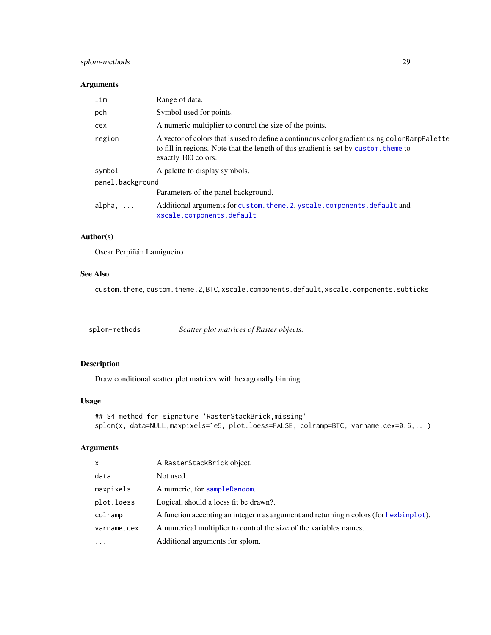# <span id="page-28-0"></span>splom-methods 29

# Arguments

| lim              | Range of data.                                                                                                                                                                                               |
|------------------|--------------------------------------------------------------------------------------------------------------------------------------------------------------------------------------------------------------|
| pch              | Symbol used for points.                                                                                                                                                                                      |
| cex              | A numeric multiplier to control the size of the points.                                                                                                                                                      |
| region           | A vector of colors that is used to define a continuous color gradient using color RampPalette<br>to fill in regions. Note that the length of this gradient is set by custom, theme to<br>exactly 100 colors. |
| symbol           | A palette to display symbols.                                                                                                                                                                                |
| panel.background |                                                                                                                                                                                                              |
|                  | Parameters of the panel background.                                                                                                                                                                          |
| $alpha, \ldots$  | Additional arguments for custom. theme. 2, yscale. components. default and<br>xscale.components.default                                                                                                      |

#### Author(s)

Oscar Perpiñán Lamigueiro

# See Also

custom.theme, custom.theme.2, BTC, xscale.components.default, xscale.components.subticks

splom-methods *Scatter plot matrices of Raster objects.*

# <span id="page-28-1"></span>Description

Draw conditional scatter plot matrices with hexagonally binning.

#### Usage

```
## S4 method for signature 'RasterStackBrick,missing'
splom(x, data=NULL,maxpixels=1e5, plot.loess=FALSE, colramp=BTC, varname.cex=0.6,...)
```

| $\mathsf{x}$ | A RasterStackBrick object.                                                             |
|--------------|----------------------------------------------------------------------------------------|
| data         | Not used.                                                                              |
| maxpixels    | A numeric, for sampleRandom.                                                           |
| plot.loess   | Logical, should a loess fit be drawn?.                                                 |
| colramp      | A function accepting an integer n as argument and returning n colors (for hexbinplot). |
| varname.cex  | A numerical multiplier to control the size of the variables names.                     |
| $\ddotsc$    | Additional arguments for splom.                                                        |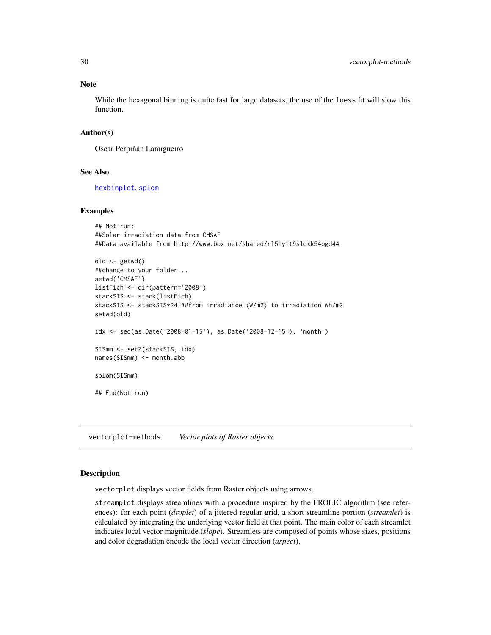#### Note

While the hexagonal binning is quite fast for large datasets, the use of the loess fit will slow this function.

#### Author(s)

Oscar Perpiñán Lamigueiro

# See Also

[hexbinplot](#page-6-1), [splom](#page-28-1)

#### Examples

```
## Not run:
##Solar irradiation data from CMSAF
##Data available from http://www.box.net/shared/rl51y1t9sldxk54ogd44
old <- getwd()
##change to your folder...
setwd('CMSAF')
listFich <- dir(pattern='2008')
stackSIS <- stack(listFich)
stackSIS <- stackSIS*24 ##from irradiance (W/m2) to irradiation Wh/m2
setwd(old)
idx <- seq(as.Date('2008-01-15'), as.Date('2008-12-15'), 'month')
SISmm <- setZ(stackSIS, idx)
names(SISmm) <- month.abb
splom(SISmm)
## End(Not run)
```
vectorplot-methods *Vector plots of Raster objects.*

#### <span id="page-29-1"></span>Description

vectorplot displays vector fields from Raster objects using arrows.

streamplot displays streamlines with a procedure inspired by the FROLIC algorithm (see references): for each point (*droplet*) of a jittered regular grid, a short streamline portion (*streamlet*) is calculated by integrating the underlying vector field at that point. The main color of each streamlet indicates local vector magnitude (*slope*). Streamlets are composed of points whose sizes, positions and color degradation encode the local vector direction (*aspect*).

<span id="page-29-0"></span>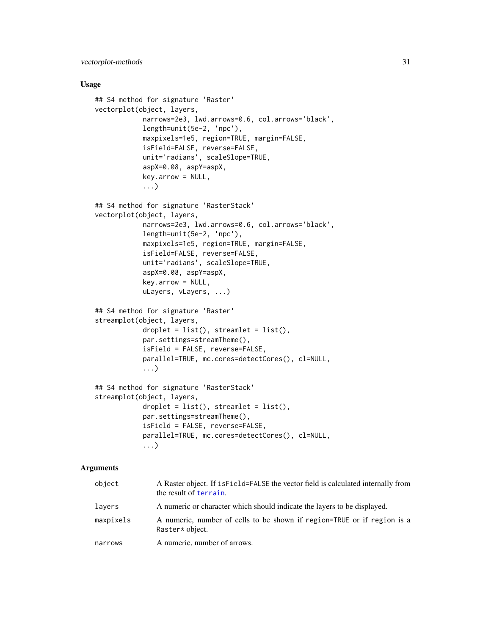#### <span id="page-30-0"></span>Usage

```
## S4 method for signature 'Raster'
vectorplot(object, layers,
            narrows=2e3, lwd.arrows=0.6, col.arrows='black',
            length=unit(5e-2, 'npc'),
            maxpixels=1e5, region=TRUE, margin=FALSE,
            isField=FALSE, reverse=FALSE,
            unit='radians', scaleSlope=TRUE,
            aspX=0.08, aspY=aspX,
            key.arrow = NULL,
            ...)
## S4 method for signature 'RasterStack'
vectorplot(object, layers,
            narrows=2e3, lwd.arrows=0.6, col.arrows='black',
            length=unit(5e-2, 'npc'),
            maxpixels=1e5, region=TRUE, margin=FALSE,
            isField=FALSE, reverse=FALSE,
            unit='radians', scaleSlope=TRUE,
            aspX=0.08, aspY=aspX,
            key.arrow = NULL,
            uLayers, vLayers, ...)
## S4 method for signature 'Raster'
streamplot(object, layers,
            droplet = list(), streamlet = list(),
            par.settings=streamTheme(),
            isField = FALSE, reverse=FALSE,
            parallel=TRUE, mc.cores=detectCores(), cl=NULL,
            ...)
## S4 method for signature 'RasterStack'
streamplot(object, layers,
            droplet = list(), streamlet = list(),
            par.settings=streamTheme(),
            isField = FALSE, reverse=FALSE,
            parallel=TRUE, mc.cores=detectCores(), cl=NULL,
            ...)
```

| object    | A Raster object. If is Field=FALSE the vector field is calculated internally from<br>the result of terrain. |
|-----------|-------------------------------------------------------------------------------------------------------------|
| layers    | A numeric or character which should indicate the layers to be displayed.                                    |
| maxpixels | A numeric, number of cells to be shown if region=TRUE or if region is a<br>Raster* object.                  |
| narrows   | A numeric, number of arrows.                                                                                |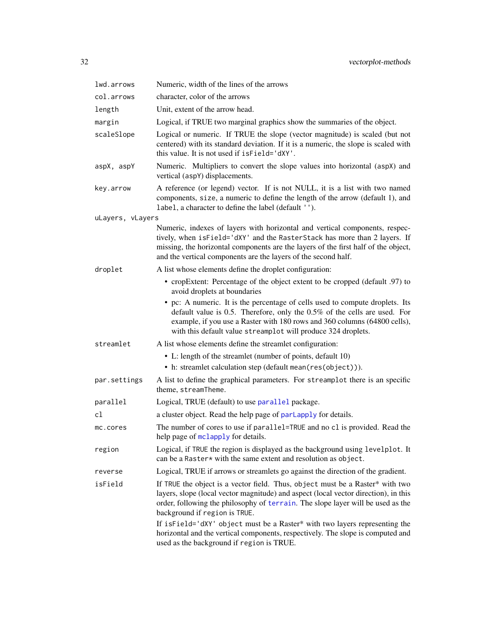<span id="page-31-0"></span>

| lwd.arrows       | Numeric, width of the lines of the arrows                                                                                                                                                                                                                                                                                                                              |
|------------------|------------------------------------------------------------------------------------------------------------------------------------------------------------------------------------------------------------------------------------------------------------------------------------------------------------------------------------------------------------------------|
| col.arrows       | character, color of the arrows                                                                                                                                                                                                                                                                                                                                         |
| length           | Unit, extent of the arrow head.                                                                                                                                                                                                                                                                                                                                        |
| margin           | Logical, if TRUE two marginal graphics show the summaries of the object.                                                                                                                                                                                                                                                                                               |
| scaleSlope       | Logical or numeric. If TRUE the slope (vector magnitude) is scaled (but not<br>centered) with its standard deviation. If it is a numeric, the slope is scaled with<br>this value. It is not used if is Field='dXY'.                                                                                                                                                    |
| aspX, aspY       | Numeric. Multipliers to convert the slope values into horizontal (aspX) and<br>vertical (aspY) displacements.                                                                                                                                                                                                                                                          |
| key.arrow        | A reference (or legend) vector. If is not NULL, it is a list with two named<br>components, size, a numeric to define the length of the arrow (default 1), and<br>label, a character to define the label (default '').                                                                                                                                                  |
| uLayers, vLayers |                                                                                                                                                                                                                                                                                                                                                                        |
|                  | Numeric, indexes of layers with horizontal and vertical components, respec-<br>tively, when isField='dXY' and the RasterStack has more than 2 layers. If<br>missing, the horizontal components are the layers of the first half of the object,<br>and the vertical components are the layers of the second half.                                                       |
| droplet          | A list whose elements define the droplet configuration:                                                                                                                                                                                                                                                                                                                |
|                  | • cropExtent: Percentage of the object extent to be cropped (default .97) to<br>avoid droplets at boundaries                                                                                                                                                                                                                                                           |
|                  | • pc: A numeric. It is the percentage of cells used to compute droplets. Its<br>default value is $0.5$ . Therefore, only the $0.5\%$ of the cells are used. For<br>example, if you use a Raster with 180 rows and 360 columns (64800 cells),<br>with this default value streamplot will produce 324 droplets.                                                          |
| streamlet        | A list whose elements define the streamlet configuration:                                                                                                                                                                                                                                                                                                              |
|                  | • L: length of the streamlet (number of points, default 10)<br>• h: streamlet calculation step (default mean(res(object))).                                                                                                                                                                                                                                            |
| par.settings     | A list to define the graphical parameters. For streamplot there is an specific<br>theme, streamTheme.                                                                                                                                                                                                                                                                  |
| parallel         | Logical, TRUE (default) to use parallel package.                                                                                                                                                                                                                                                                                                                       |
| cl               | a cluster object. Read the help page of parlapply for details.                                                                                                                                                                                                                                                                                                         |
| mc.cores         | The number of cores to use if parallel=TRUE and no cl is provided. Read the<br>help page of mclapply for details.                                                                                                                                                                                                                                                      |
| region           | Logical, if TRUE the region is displayed as the background using levelplot. It<br>can be a Raster* with the same extent and resolution as object.                                                                                                                                                                                                                      |
| reverse          | Logical, TRUE if arrows or streamlets go against the direction of the gradient.                                                                                                                                                                                                                                                                                        |
| isField          | If TRUE the object is a vector field. Thus, object must be a Raster* with two<br>layers, slope (local vector magnitude) and aspect (local vector direction), in this<br>order, following the philosophy of terrain. The slope layer will be used as the<br>background if region is TRUE.<br>If isField='dXY' object must be a Raster* with two layers representing the |
|                  | horizontal and the vertical components, respectively. The slope is computed and<br>used as the background if region is TRUE.                                                                                                                                                                                                                                           |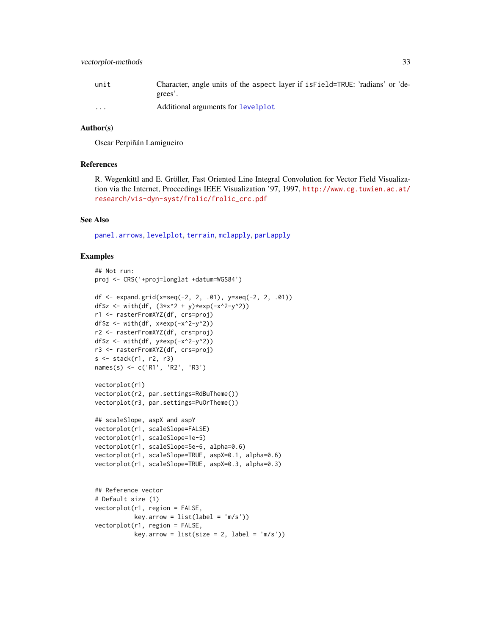<span id="page-32-0"></span>

| unit     | Character, angle units of the aspect layer if is Field=TRUE: 'radians' or 'de- |
|----------|--------------------------------------------------------------------------------|
|          | grees'.                                                                        |
| $\cdots$ | Additional arguments for levelplot                                             |

# Author(s)

Oscar Perpiñán Lamigueiro

#### References

R. Wegenkittl and E. Gröller, Fast Oriented Line Integral Convolution for Vector Field Visualization via the Internet, Proceedings IEEE Visualization '97, 1997, [http://www.cg.tuwien.ac.at/](http://www.cg.tuwien.ac.at/research/vis-dyn-syst/frolic/frolic_crc.pdf) [research/vis-dyn-syst/frolic/frolic\\_crc.pdf](http://www.cg.tuwien.ac.at/research/vis-dyn-syst/frolic/frolic_crc.pdf)

#### See Also

[panel.arrows](#page-0-0), [levelplot](#page-18-1), [terrain](#page-0-0), [mclapply](#page-0-0), [parLapply](#page-0-0)

```
## Not run:
proj <- CRS('+proj=longlat +datum=WGS84')
df <- expand.grid(x=seq(-2, 2, .01), y=seq(-2, 2, .01))
df$z <- with(df, (3*x^2 + y)*exp(-x^2-y^2))
r1 <- rasterFromXYZ(df, crs=proj)
df$z \leftarrow with(df, x*exp(-x^2-y^2))
r2 <- rasterFromXYZ(df, crs=proj)
df$z <- with(df, y*exp(-x^2-y^2))
r3 <- rasterFromXYZ(df, crs=proj)
s <- stack(r1, r2, r3)
names(s) <- c('R1', 'R2', 'R3')
vectorplot(r1)
vectorplot(r2, par.settings=RdBuTheme())
vectorplot(r3, par.settings=PuOrTheme())
## scaleSlope, aspX and aspY
vectorplot(r1, scaleSlope=FALSE)
vectorplot(r1, scaleSlope=1e-5)
vectorplot(r1, scaleSlope=5e-6, alpha=0.6)
vectorplot(r1, scaleSlope=TRUE, aspX=0.1, alpha=0.6)
vectorplot(r1, scaleSlope=TRUE, aspX=0.3, alpha=0.3)
## Reference vector
# Default size (1)
vectorplot(r1, region = FALSE,
          key.array = list(label = 'm/s'))vectorplot(r1, region = FALSE,
           key.array = list(size = 2, label = 'm/s'))
```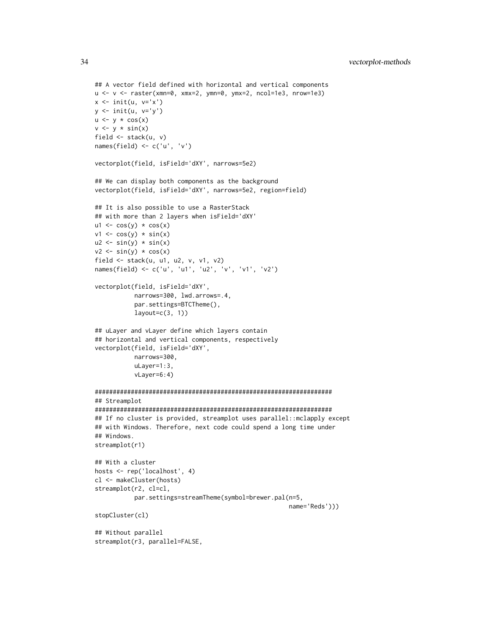```
## A vector field defined with horizontal and vertical components
u <- v <- raster(xmn=0, xmx=2, ymn=0, ymx=2, ncol=1e3, nrow=1e3)
x \leftarrow \text{init}(u, v='x')y \leftarrow \text{init}(u, v='y')u \leftarrow y * cos(x)v \leftarrow y * sin(x)field <- stack(u, v)
names(field) <- c('u', 'v')
vectorplot(field, isField='dXY', narrows=5e2)
## We can display both components as the background
vectorplot(field, isField='dXY', narrows=5e2, region=field)
## It is also possible to use a RasterStack
## with more than 2 layers when isField='dXY'
ul \leftarrow cos(y) * cos(x)v1 \leftarrow \cos(y) * \sin(x)u2 \le -\sin(y) \cdot \sin(x)v2 \le -\sin(y) \cdot \cos(x)field <- stack(u, u1, u2, v, v1, v2)
names(field) <- c('u', 'u1', 'u2', 'v', 'v1', 'v2')
vectorplot(field, isField='dXY',
           narrows=300, lwd.arrows=.4,
           par.settings=BTCTheme(),
           layout=c(3, 1))## uLayer and vLayer define which layers contain
## horizontal and vertical components, respectively
vectorplot(field, isField='dXY',
           narrows=300,
           uLayer=1:3,
           vLayer=6:4)
##################################################################
## Streamplot
##################################################################
## If no cluster is provided, streamplot uses parallel::mclapply except
## with Windows. Therefore, next code could spend a long time under
## Windows.
streamplot(r1)
## With a cluster
hosts <- rep('localhost', 4)
cl <- makeCluster(hosts)
streamplot(r2, cl=cl,
           par.settings=streamTheme(symbol=brewer.pal(n=5,
                                                         name='Reds')))
stopCluster(cl)
## Without parallel
streamplot(r3, parallel=FALSE,
```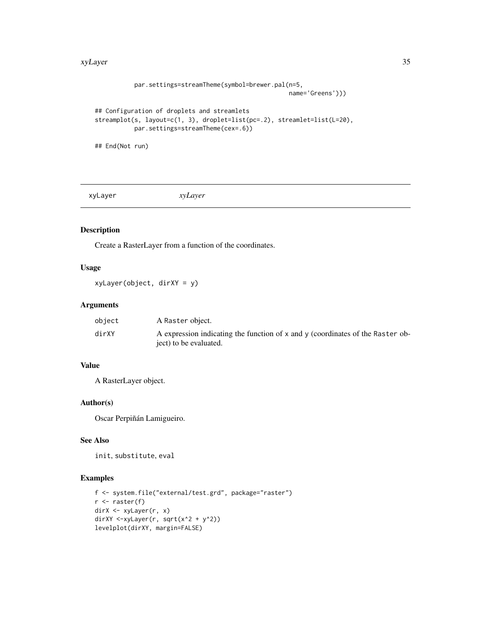#### <span id="page-34-0"></span>xyLayer 35

```
par.settings=streamTheme(symbol=brewer.pal(n=5,
                                                      name='Greens')))
## Configuration of droplets and streamlets
streamplot(s, layout=c(1, 3), droplet=list(pc=.2), streamlet=list(L=20),
           par.settings=streamTheme(cex=.6))
## End(Not run)
```
<span id="page-34-1"></span>xyLayer *xyLayer*

# Description

Create a RasterLayer from a function of the coordinates.

# Usage

xyLayer(object, dirXY = y)

# Arguments

| object | A Raster object.                                                               |
|--------|--------------------------------------------------------------------------------|
| dirXY  | A expression indicating the function of x and y (coordinates of the Raster ob- |
|        | ject) to be evaluated.                                                         |

# Value

A RasterLayer object.

# Author(s)

Oscar Perpiñán Lamigueiro.

# See Also

init, substitute, eval

```
f <- system.file("external/test.grd", package="raster")
r <- raster(f)
dirX <- xyLayer(r, x)
dirXY <-xyLayer(r, sqrt(x^2 + y^2))
levelplot(dirXY, margin=FALSE)
```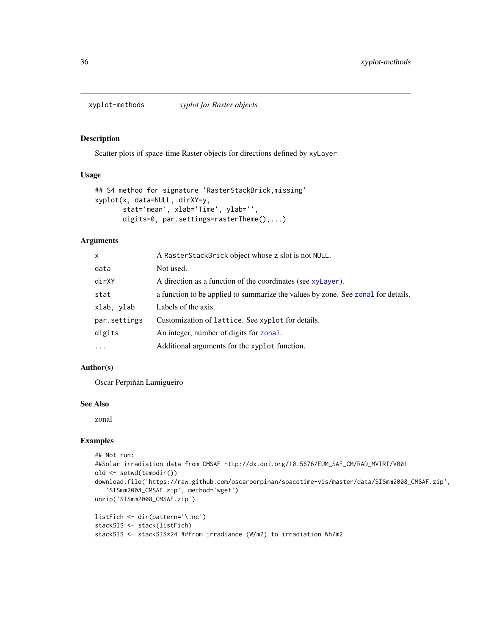<span id="page-35-0"></span>

#### <span id="page-35-1"></span>Description

Scatter plots of space-time Raster objects for directions defined by xyLayer

#### Usage

```
## S4 method for signature 'RasterStackBrick,missing'
xyplot(x, data=NULL, dirXY=y,
       stat='mean', xlab='Time', ylab='',
      digits=0, par.settings=rasterTheme(),...)
```
#### **Arguments**

| X.           | A RasterStackBrick object whose z slot is not NULL.                              |
|--------------|----------------------------------------------------------------------------------|
| data         | Not used.                                                                        |
| dirXY        | A direction as a function of the coordinates (see xyLayer).                      |
| stat         | a function to be applied to summarize the values by zone. See zonal for details. |
| xlab, ylab   | Labels of the axis.                                                              |
| par.settings | Customization of lattice. See xyplot for details.                                |
| digits       | An integer, number of digits for zonal.                                          |
| $\cdots$     | Additional arguments for the xyplot function.                                    |

# Author(s)

Oscar Perpiñán Lamigueiro

#### See Also

zonal

```
## Not run:
##Solar irradiation data from CMSAF http://dx.doi.org/10.5676/EUM_SAF_CM/RAD_MVIRI/V001
old <- setwd(tempdir())
download.file('https://raw.github.com/oscarperpinan/spacetime-vis/master/data/SISmm2008_CMSAF.zip',
   'SISmm2008_CMSAF.zip', method='wget')
unzip('SISmm2008_CMSAF.zip')
listFich <- dir(pattern='\.nc')
stackSIS <- stack(listFich)
stackSIS <- stackSIS*24 ##from irradiance (W/m2) to irradiation Wh/m2
```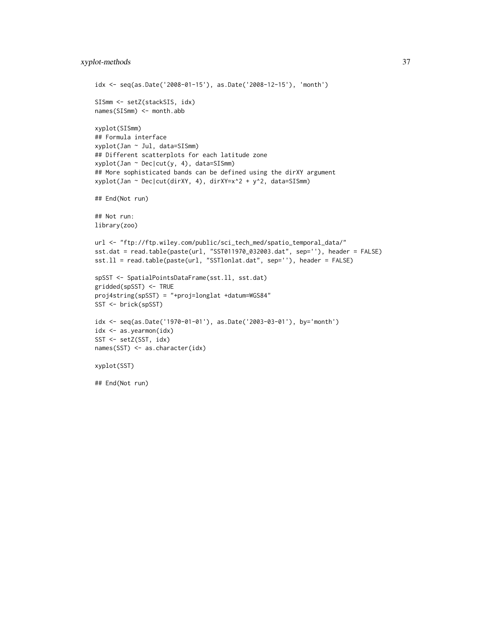```
idx <- seq(as.Date('2008-01-15'), as.Date('2008-12-15'), 'month')
SISmm <- setZ(stackSIS, idx)
names(SISmm) <- month.abb
xyplot(SISmm)
## Formula interface
xyplot(Jan ~ Jul, data=SISmm)
## Different scatterplots for each latitude zone
xyplot(Jan ~ Dec|cut(y, 4), data=SISmm)
## More sophisticated bands can be defined using the dirXY argument
xyplot(Jan ~ Dec|cut(dirXY, 4), dirXY=x^2 + y^2, data=SISmm)
## End(Not run)
## Not run:
library(zoo)
url <- "ftp://ftp.wiley.com/public/sci_tech_med/spatio_temporal_data/"
sst.dat = read.table(paste(url, "SST011970_032003.dat", sep=''), header = FALSE)
sst.ll = read.table(paste(url, "SSTlonlat.dat", sep=''), header = FALSE)
spSST <- SpatialPointsDataFrame(sst.ll, sst.dat)
gridded(spSST) <- TRUE
proj4string(spSST) = "+proj=longlat +datum=WGS84"
SST <- brick(spSST)
idx <- seq(as.Date('1970-01-01'), as.Date('2003-03-01'), by='month')
idx <- as.yearmon(idx)
SST <- setZ(SST, idx)
names(SST) <- as.character(idx)
xyplot(SST)
## End(Not run)
```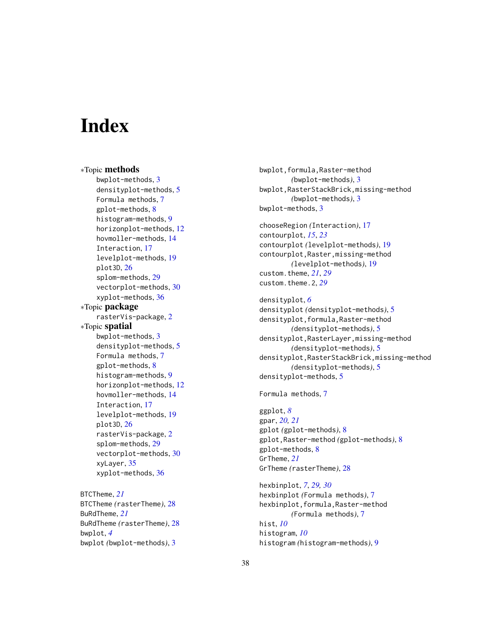# <span id="page-37-0"></span>**Index**

∗Topic methods bwplot-methods, [3](#page-2-0) densityplot-methods, [5](#page-4-0) Formula methods, [7](#page-6-0) gplot-methods, [8](#page-7-0) histogram-methods, [9](#page-8-0) horizonplot-methods, [12](#page-11-0) hovmoller-methods, [14](#page-13-0) Interaction, [17](#page-16-0) levelplot-methods, [19](#page-18-0) plot3D, [26](#page-25-0) splom-methods, [29](#page-28-0) vectorplot-methods, [30](#page-29-0) xyplot-methods, [36](#page-35-0) ∗Topic package rasterVis-package, [2](#page-1-0) ∗Topic spatial bwplot-methods, [3](#page-2-0) densityplot-methods, [5](#page-4-0) Formula methods, [7](#page-6-0) gplot-methods, [8](#page-7-0) histogram-methods, [9](#page-8-0) horizonplot-methods, [12](#page-11-0) hovmoller-methods, [14](#page-13-0) Interaction, [17](#page-16-0) levelplot-methods, [19](#page-18-0) plot3D, [26](#page-25-0) rasterVis-package, [2](#page-1-0) splom-methods, [29](#page-28-0) vectorplot-methods, [30](#page-29-0) xyLayer, [35](#page-34-0) xyplot-methods, [36](#page-35-0)

BTCTheme, *[21](#page-20-0)* BTCTheme *(*rasterTheme*)*, [28](#page-27-0) BuRdTheme, *[21](#page-20-0)* BuRdTheme *(*rasterTheme*)*, [28](#page-27-0) bwplot, *[4](#page-3-0)* bwplot *(*bwplot-methods*)*, [3](#page-2-0)

bwplot,formula,Raster-method *(*bwplot-methods*)*, [3](#page-2-0) bwplot,RasterStackBrick,missing-method *(*bwplot-methods*)*, [3](#page-2-0) bwplot-methods, [3](#page-2-0)

chooseRegion *(*Interaction*)*, [17](#page-16-0) contourplot, *[15](#page-14-0)*, *[23](#page-22-0)* contourplot *(*levelplot-methods*)*, [19](#page-18-0) contourplot,Raster,missing-method *(*levelplot-methods*)*, [19](#page-18-0) custom.theme, *[21](#page-20-0)*, *[29](#page-28-0)* custom.theme.2, *[29](#page-28-0)*

densityplot, *[6](#page-5-0)* densityplot *(*densityplot-methods*)*, [5](#page-4-0) densityplot,formula,Raster-method *(*densityplot-methods*)*, [5](#page-4-0) densityplot,RasterLayer,missing-method *(*densityplot-methods*)*, [5](#page-4-0) densityplot,RasterStackBrick,missing-method *(*densityplot-methods*)*, [5](#page-4-0) densityplot-methods, [5](#page-4-0)

Formula methods, [7](#page-6-0)

ggplot, *[8](#page-7-0)* gpar, *[20,](#page-19-0) [21](#page-20-0)* gplot *(*gplot-methods*)*, [8](#page-7-0) gplot,Raster-method *(*gplot-methods*)*, [8](#page-7-0) gplot-methods, [8](#page-7-0) GrTheme, *[21](#page-20-0)* GrTheme *(*rasterTheme*)*, [28](#page-27-0)

hexbinplot, *[7](#page-6-0)*, *[29,](#page-28-0) [30](#page-29-0)* hexbinplot *(*Formula methods*)*, [7](#page-6-0) hexbinplot,formula,Raster-method *(*Formula methods*)*, [7](#page-6-0) hist, *[10](#page-9-0)* histogram, *[10](#page-9-0)* histogram *(*histogram-methods*)*, [9](#page-8-0)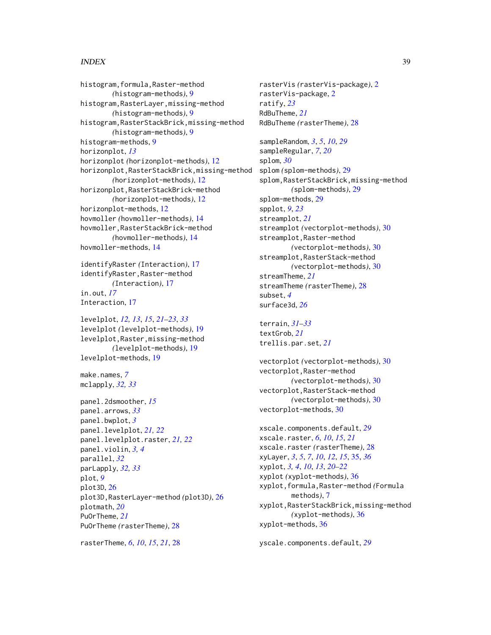#### INDEX  $39$

histogram,formula,Raster-method *(*histogram-methods*)*, [9](#page-8-0) histogram,RasterLayer,missing-method *(*histogram-methods*)*, [9](#page-8-0) histogram,RasterStackBrick,missing-method *(*histogram-methods*)*, [9](#page-8-0) histogram-methods, [9](#page-8-0) horizonplot, *[13](#page-12-0)* horizonplot *(*horizonplot-methods*)*, [12](#page-11-0) horizonplot,RasterStackBrick,missing-method *(*horizonplot-methods*)*, [12](#page-11-0) horizonplot,RasterStackBrick-method *(*horizonplot-methods*)*, [12](#page-11-0) horizonplot-methods, [12](#page-11-0) hovmoller *(*hovmoller-methods*)*, [14](#page-13-0) hovmoller,RasterStackBrick-method *(*hovmoller-methods*)*, [14](#page-13-0) hovmoller-methods, [14](#page-13-0)

identifyRaster *(*Interaction*)*, [17](#page-16-0) identifyRaster,Raster-method *(*Interaction*)*, [17](#page-16-0) in.out, *[17](#page-16-0)* Interaction, [17](#page-16-0)

levelplot, *[12,](#page-11-0) [13](#page-12-0)*, *[15](#page-14-0)*, *[21–](#page-20-0)[23](#page-22-0)*, *[33](#page-32-0)* levelplot *(*levelplot-methods*)*, [19](#page-18-0) levelplot,Raster,missing-method *(*levelplot-methods*)*, [19](#page-18-0) levelplot-methods, [19](#page-18-0)

make.names, *[7](#page-6-0)* mclapply, *[32,](#page-31-0) [33](#page-32-0)*

```
panel.2dsmoother, 15
panel.arrows, 33
panel.bwplot, 3
panel.levelplot, 21, 22
panel.levelplot.raster, 21, 22
panel.violin, 3, 4
parallel, 32
parLapply, 32, 33
plot, 9
plot3D, 26
plot3D,RasterLayer-method (plot3D), 26
plotmath, 20
PuOrTheme, 21
PuOrTheme (rasterTheme), 28
```
rasterTheme, *[6](#page-5-0)*, *[10](#page-9-0)*, *[15](#page-14-0)*, *[21](#page-20-0)*, [28](#page-27-0)

rasterVis *(*rasterVis-package*)*, [2](#page-1-0) rasterVis-package, [2](#page-1-0) ratify, *[23](#page-22-0)* RdBuTheme, *[21](#page-20-0)* RdBuTheme *(*rasterTheme*)*, [28](#page-27-0)

```
sampleRandom, 3, 5, 10, 29
sampleRegular, 7, 20
splom, 30
splom (splom-methods), 29
splom,RasterStackBrick,missing-method
        (splom-methods), 29
splom-methods, 29
spplot, 9, 23
streamplot, 21
streamplot (vectorplot-methods), 30
streamplot,Raster-method
        (vectorplot-methods), 30
streamplot,RasterStack-method
        (vectorplot-methods), 30
streamTheme, 21
streamTheme (rasterTheme), 28
subset, 4
surface3d, 26
```
terrain, *[31](#page-30-0)[–33](#page-32-0)* textGrob, *[21](#page-20-0)* trellis.par.set, *[21](#page-20-0)*

vectorplot *(*vectorplot-methods*)*, [30](#page-29-0) vectorplot,Raster-method *(*vectorplot-methods*)*, [30](#page-29-0) vectorplot,RasterStack-method *(*vectorplot-methods*)*, [30](#page-29-0) vectorplot-methods, [30](#page-29-0)

xscale.components.default, *[29](#page-28-0)* xscale.raster, *[6](#page-5-0)*, *[10](#page-9-0)*, *[15](#page-14-0)*, *[21](#page-20-0)* xscale.raster *(*rasterTheme*)*, [28](#page-27-0) xyLayer, *[3](#page-2-0)*, *[5](#page-4-0)*, *[7](#page-6-0)*, *[10](#page-9-0)*, *[12](#page-11-0)*, *[15](#page-14-0)*, [35,](#page-34-0) *[36](#page-35-0)* xyplot, *[3,](#page-2-0) [4](#page-3-0)*, *[10](#page-9-0)*, *[13](#page-12-0)*, *[20](#page-19-0)[–22](#page-21-0)* xyplot *(*xyplot-methods*)*, [36](#page-35-0) xyplot,formula,Raster-method *(*Formula methods*)*, [7](#page-6-0) xyplot,RasterStackBrick,missing-method *(*xyplot-methods*)*, [36](#page-35-0) xyplot-methods, [36](#page-35-0)

yscale.components.default, *[29](#page-28-0)*